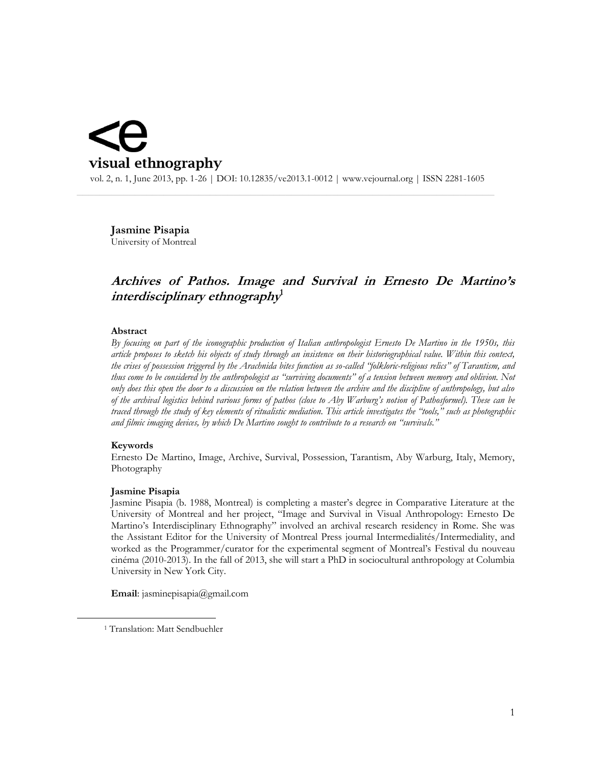# visual ethnography

 vol. 2, n. 1, June 2013, pp. 1-26 | DOI: 10.12835/ve2013.1-0012 | www.vejournal.org | ISSN 2281-1605  $\_$  , and the contribution of the contribution of the contribution of the contribution of  $\mathcal{L}_\text{max}$ 

**Jasmine Pisapia** University of Montreal

# **Archives of Pathos. Image and Survival in Ernesto De Martino's interdisciplinary ethnography 1**

#### **Abstract**

*By focusing on part of the iconographic production of Italian anthropologist Ernesto De Martino in the 1950s, this article proposes to sketch his objects of study through an insistence on their historiographical value. Within this context, the crises of possession triggered by the Arachnida bites function as so-called "folkloric-religious relics" of Tarantism, and thus come to be considered by the anthropologist as "surviving documents" of a tension between memory and oblivion. Not only does this open the door to a discussion on the relation between the archive and the discipline of anthropology, but also of the archival logistics behind various forms of pathos (close to Aby Warburg's notion of Pathosformel). These can be traced through the study of key elements of ritualistic mediation. This article investigates the "tools," such as photographic and filmic imaging devices, by which De Martino sought to contribute to a research on "survivals."*

#### **Keywords**

 $\overline{a}$ 

Ernesto De Martino, Image, Archive, Survival, Possession, Tarantism, Aby Warburg, Italy, Memory, Photography

#### **Jasmine Pisapia**

Jasmine Pisapia (b. 1988, Montreal) is completing a master's degree in Comparative Literature at the University of Montreal and her project, "Image and Survival in Visual Anthropology: Ernesto De Martino's Interdisciplinary Ethnography" involved an archival research residency in Rome. She was the Assistant Editor for the University of Montreal Press journal Intermedialités/Intermediality, and worked as the Programmer/curator for the experimental segment of Montreal's Festival du nouveau cinéma (2010-2013). In the fall of 2013, she will start a PhD in sociocultural anthropology at Columbia University in New York City.

**Email**: jasminepisapia@gmail.com

<sup>&</sup>lt;sup>1</sup> Translation: Matt Sendbuehler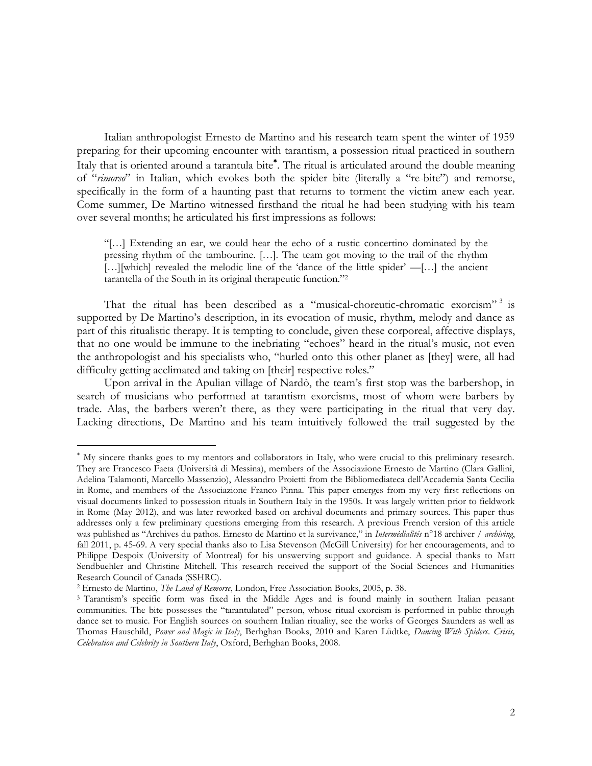Italian anthropologist Ernesto de Martino and his research team spent the winter of 1959 preparing for their upcoming encounter with tarantism, a possession ritual practiced in southern Italy that is oriented around a tarantula bite . The ritual is articulated around the double meaning of "*rimorso*" in Italian, which evokes both the spider bite (literally a "re-bite") and remorse, specifically in the form of a haunting past that returns to torment the victim anew each year. Come summer, De Martino witnessed firsthand the ritual he had been studying with his team over several months; he articulated his first impressions as follows:

"[…] Extending an ear, we could hear the echo of a rustic concertino dominated by the pressing rhythm of the tambourine. […]. The team got moving to the trail of the rhythm […][which] revealed the melodic line of the 'dance of the little spider' —[…] the ancient tarantella of the South in its original therapeutic function."<sup>2</sup>

That the ritual has been described as a "musical-choreutic-chromatic exorcism"<sup>3</sup> is supported by De Martino's description, in its evocation of music, rhythm, melody and dance as part of this ritualistic therapy. It is tempting to conclude, given these corporeal, affective displays, that no one would be immune to the inebriating "echoes" heard in the ritual's music, not even the anthropologist and his specialists who, "hurled onto this other planet as [they] were, all had difficulty getting acclimated and taking on [their] respective roles."

Upon arrival in the Apulian village of Nardò, the team's first stop was the barbershop, in search of musicians who performed at tarantism exorcisms, most of whom were barbers by trade. Alas, the barbers weren't there, as they were participating in the ritual that very day. Lacking directions, De Martino and his team intuitively followed the trail suggested by the

My sincere thanks goes to my mentors and collaborators in Italy, who were crucial to this preliminary research. They are Francesco Faeta (Università di Messina), members of the Associazione Ernesto de Martino (Clara Gallini, Adelina Talamonti, Marcello Massenzio), Alessandro Proietti from the Bibliomediateca dell'Accademia Santa Cecilia in Rome, and members of the Associazione Franco Pinna. This paper emerges from my very first reflections on visual documents linked to possession rituals in Southern Italy in the 1950s. It was largely written prior to fieldwork in Rome (May 2012), and was later reworked based on archival documents and primary sources. This paper thus addresses only a few preliminary questions emerging from this research. A previous French version of this article was published as "Archives du pathos. Ernesto de Martino et la survivance," in *Intermédialités* n°18 archiver / *archiving*, fall 2011, p. 45-69. A very special thanks also to Lisa Stevenson (McGill University) for her encouragements, and to Philippe Despoix (University of Montreal) for his unswerving support and guidance. A special thanks to Matt Sendbuehler and Christine Mitchell. This research received the support of the Social Sciences and Humanities Research Council of Canada (SSHRC).

<sup>2</sup> Ernesto de Martino, *The Land of Remorse*, London, Free Association Books, 2005, p. 38.

<sup>3</sup> Tarantism's specific form was fixed in the Middle Ages and is found mainly in southern Italian peasant communities. The bite possesses the "tarantulated" person, whose ritual exorcism is performed in public through dance set to music. For English sources on southern Italian rituality, see the works of Georges Saunders as well as Thomas Hauschild, *Power and Magic in Italy*, Berhghan Books, 2010 and Karen Lüdtke, *Dancing With Spiders*. *Crisis, Celebration and Celebrity in Southern Italy*, Oxford, Berhghan Books, 2008.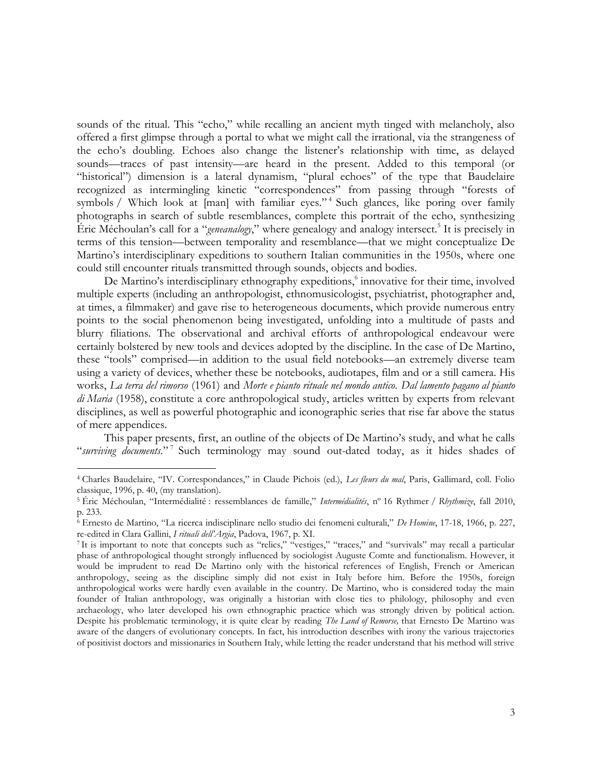sounds of the ritual. This "echo," while recalling an ancient myth tinged with melancholy, also offered a first glimpse through a portal to what we might call the irrational, via the strangeness of the echo's doubling. Echoes also change the listener's relationship with time, as delayed sounds—traces of past intensity—are heard in the present. Added to this temporal (or "historical") dimension is a lateral dynamism, "plural echoes" of the type that Baudelaire recognized as intermingling kinetic "correspondences" from passing through "forests of symbols / Which look at [man] with familiar eyes."<sup>4</sup> Such glances, like poring over family photographs in search of subtle resemblances, complete this portrait of the echo, synthesizing Éric Méchoulan's call for a "*geneanalogy*," where genealogy and analogy intersect*.* 5 It is precisely in terms of this tension—between temporality and resemblance—that we might conceptualize De Martino's interdisciplinary expeditions to southern Italian communities in the 1950s, where one could still encounter rituals transmitted through sounds, objects and bodies.

De Martino's interdisciplinary ethnography expeditions,<sup>6</sup> innovative for their time, involved multiple experts (including an anthropologist, ethnomusicologist, psychiatrist, photographer and, at times, a filmmaker) and gave rise to heterogeneous documents, which provide numerous entry points to the social phenomenon being investigated, unfolding into a multitude of pasts and blurry filiations. The observational and archival efforts of anthropological endeavour were certainly bolstered by new tools and devices adopted by the discipline. In the case of De Martino, these "tools" comprised—in addition to the usual field notebooks—an extremely diverse team using a variety of devices, whether these be notebooks, audiotapes, film and or a still camera. His works, *La terra del rimorso* (1961) and *Morte e pianto rituale nel mondo antico*. *Dal lamento pagano al pianto di Maria* (1958), constitute a core anthropological study, articles written by experts from relevant disciplines, as well as powerful photographic and iconographic series that rise far above the status of mere appendices.

This paper presents, first, an outline of the objects of De Martino's study, and what he calls "*surviving documents.*" 7 Such terminology may sound out-dated today, as it hides shades of

<sup>4</sup> Charles Baudelaire, "IV. Correspondances," in Claude Pichois (ed.), *Les fleurs du mal*, Paris, Gallimard, coll. Folio classique, 1996, p. 40, (my translation).

<sup>5</sup> Éric Méchoulan, "Intermédialité : ressemblances de famille," *Intermédialités*, nº 16 Rythmer / *Rhythmize*, fall 2010, p. 233.

<sup>6</sup> Ernesto de Martino, "La ricerca indisciplinare nello studio dei fenomeni culturali," *De Homine*, 17-18, 1966, p. 227, re-edited in Clara Gallini, *I rituali dell'Argia*, Padova, 1967, p. XI.

<sup>7</sup> It is important to note that concepts such as "relics," "vestiges," "traces," and "survivals" may recall a particular phase of anthropological thought strongly influenced by sociologist Auguste Comte and functionalism. However, it would be imprudent to read De Martino only with the historical references of English, French or American anthropology, seeing as the discipline simply did not exist in Italy before him. Before the 1950s, foreign anthropological works were hardly even available in the country. De Martino, who is considered today the main founder of Italian anthropology, was originally a historian with close ties to philology, philosophy and even archaeology, who later developed his own ethnographic practice which was strongly driven by political action. Despite his problematic terminology, it is quite clear by reading *The Land of Remorse,* that Ernesto De Martino was aware of the dangers of evolutionary concepts. In fact, his introduction describes with irony the various trajectories of positivist doctors and missionaries in Southern Italy, while letting the reader understand that his method will strive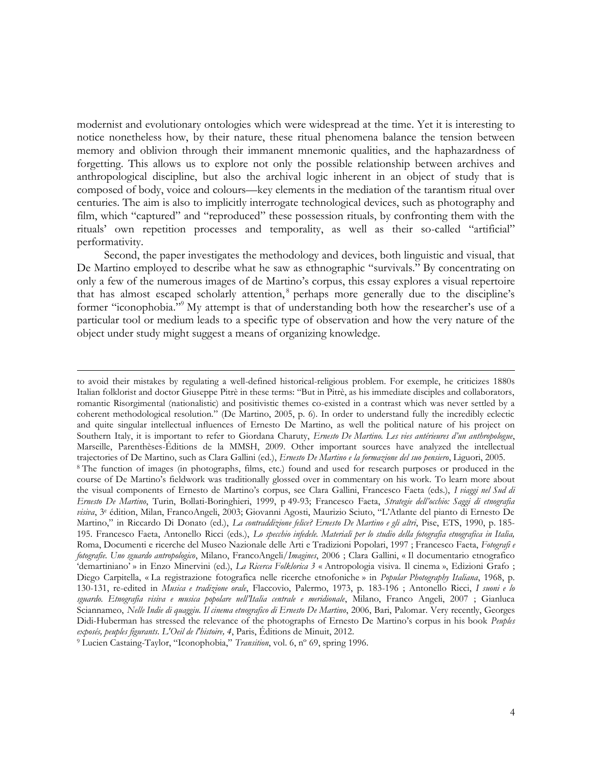modernist and evolutionary ontologies which were widespread at the time. Yet it is interesting to notice nonetheless how, by their nature, these ritual phenomena balance the tension between memory and oblivion through their immanent mnemonic qualities, and the haphazardness of forgetting. This allows us to explore not only the possible relationship between archives and anthropological discipline, but also the archival logic inherent in an object of study that is composed of body, voice and colours—key elements in the mediation of the tarantism ritual over centuries. The aim is also to implicitly interrogate technological devices, such as photography and film, which "captured" and "reproduced" these possession rituals, by confronting them with the rituals' own repetition processes and temporality, as well as their so-called "artificial" performativity.

Second, the paper investigates the methodology and devices, both linguistic and visual, that De Martino employed to describe what he saw as ethnographic "survivals." By concentrating on only a few of the numerous images of de Martino's corpus, this essay explores a visual repertoire that has almost escaped scholarly attention,<sup>8</sup> perhaps more generally due to the discipline's former "iconophobia."<sup>9</sup> My attempt is that of understanding both how the researcher's use of a particular tool or medium leads to a specific type of observation and how the very nature of the object under study might suggest a means of organizing knowledge.

<u>.</u>

to avoid their mistakes by regulating a well-defined historical-religious problem. For exemple, he criticizes 1880s Italian folklorist and doctor Giuseppe Pitrè in these terms: "But in Pitrè, as his immediate disciples and collaborators, romantic Risorgimental (nationalistic) and positivistic themes co-existed in a contrast which was never settled by a coherent methodological resolution." (De Martino, 2005, p. 6). In order to understand fully the incredibly eclectic and quite singular intellectual influences of Ernesto De Martino, as well the political nature of his project on Southern Italy, it is important to refer to Giordana Charuty, *Ernesto De Martino. Les vies antérieures d'un anthropologue*, Marseille, Parenthèses-Éditions de la MMSH, 2009. Other important sources have analyzed the intellectual trajectories of De Martino, such as Clara Gallini (ed.), *Ernesto De Martino e la formazione del suo pensiero*, Liguori, 2005. <sup>8</sup> The function of images (in photographs, films, etc.) found and used for research purposes or produced in the course of De Martino's fieldwork was traditionally glossed over in commentary on his work. To learn more about the visual components of Ernesto de Martino's corpus, see Clara Gallini, Francesco Faeta (eds.), *I viaggi nel Sud di Ernesto De Martino*, Turin, Bollati-Boringhieri, 1999, p 49-93; Francesco Faeta, *Strategie dell'occhio: Saggi di etnografia visiva*, 3<sup>e</sup> édition, Milan, FrancoAngeli, 2003; Giovanni Agosti, Maurizio Sciuto, "L'Atlante del pianto di Ernesto De Martino," in Riccardo Di Donato (ed.), *La contraddizione felice? Ernesto De Martino e gli altri*, Pise, ETS, 1990, p. 185- 195. Francesco Faeta, Antonello Ricci (eds.), *Lo specchio infedele. Materiali per lo studio della fotografia etnografica in Italia,*  Roma, Documenti e ricerche del Museo Nazionale delle Arti e Tradizioni Popolari, 1997 ; Francesco Faeta, *Fotografi e fotografie. Uno sguardo antropologico*, Milano, FrancoAngeli/*Imagines*, 2006 ; Clara Gallini, « Il documentario etnografico 'demartiniano' » in Enzo Minervini (ed.), *La Ricerca Folklorica 3* « Antropologia visiva. Il cinema », Edizioni Grafo ; Diego Carpitella, « La registrazione fotografica nelle ricerche etnofoniche » in *Popular Photography Italiana*, 1968, p. 130-131, re-edited in *Musica e tradizione orale*, Flaccovio, Palermo, 1973, p. 183-196 ; Antonello Ricci, *I suoni e lo sguardo. Etnografia visiva e musica popolare nell'Italia centrale e meridionale*, Milano, Franco Angeli, 2007 ; Gianluca Sciannameo, *Nelle Indie di quaggiu. Il cinema etnografico di Ernesto De Martino*, 2006, Bari, Palomar. Very recently, Georges Didi-Huberman has stressed the relevance of the photographs of Ernesto De Martino's corpus in his book *Peuples exposés, peuples figurants*. *L'Oeil de l'histoire, 4*, Paris, Éditions de Minuit, 2012.

<sup>9</sup> Lucien Castaing-Taylor, "Iconophobia," *Transition*, vol. 6, nº 69, spring 1996.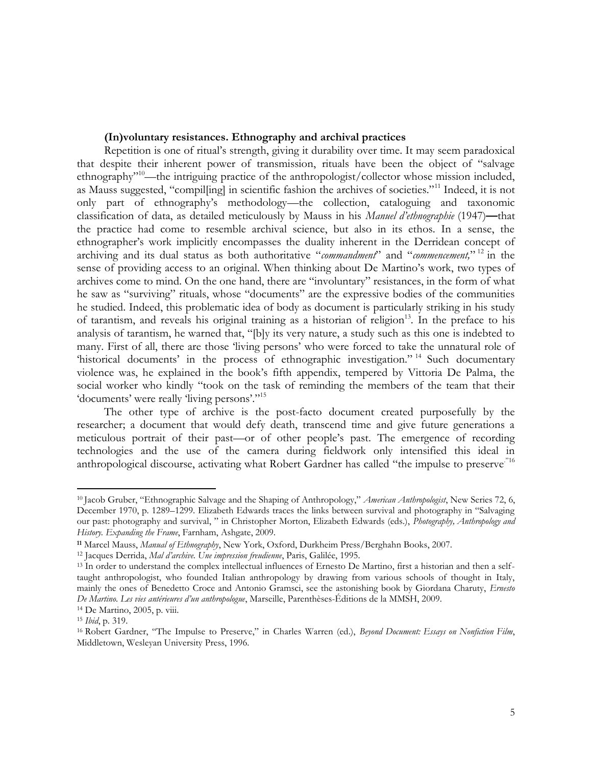# **(In)voluntary resistances. Ethnography and archival practices**

Repetition is one of ritual's strength, giving it durability over time. It may seem paradoxical that despite their inherent power of transmission, rituals have been the object of "salvage ethnography<sup>"10</sup>—the intriguing practice of the anthropologist/collector whose mission included, as Mauss suggested, "compilling] in scientific fashion the archives of societies."<sup>11</sup> Indeed, it is not only part of ethnography's methodology—the collection, cataloguing and taxonomic classification of data, as detailed meticulously by Mauss in his *Manuel d'ethnographie* (1947)**—**that the practice had come to resemble archival science, but also in its ethos. In a sense, the ethnographer's work implicitly encompasses the duality inherent in the Derridean concept of archiving and its dual status as both authoritative "*commandment*" and "*commencement,*" <sup>12</sup> in the sense of providing access to an original. When thinking about De Martino's work, two types of archives come to mind. On the one hand, there are "involuntary" resistances, in the form of what he saw as "surviving" rituals, whose "documents" are the expressive bodies of the communities he studied. Indeed, this problematic idea of body as document is particularly striking in his study of tarantism, and reveals his original training as a historian of religion<sup>13</sup>. In the preface to his analysis of tarantism, he warned that, "[b]y its very nature, a study such as this one is indebted to many. First of all, there are those 'living persons' who were forced to take the unnatural role of 'historical documents' in the process of ethnographic investigation."<sup>14</sup> Such documentary violence was, he explained in the book's fifth appendix, tempered by Vittoria De Palma, the social worker who kindly "took on the task of reminding the members of the team that their 'documents' were really 'living persons'."<sup>15</sup>

The other type of archive is the post-facto document created purposefully by the researcher; a document that would defy death, transcend time and give future generations a meticulous portrait of their past—or of other people's past. The emergence of recording technologies and the use of the camera during fieldwork only intensified this ideal in anthropological discourse, activating what Robert Gardner has called "the impulse to preserve."<sup>16</sup>

<sup>10</sup> Jacob Gruber, "Ethnographic Salvage and the Shaping of Anthropology," *American Anthropologist*, New Series 72, 6, December 1970, p. 1289–1299. Elizabeth Edwards traces the links between survival and photography in "Salvaging our past: photography and survival, " in Christopher Morton, Elizabeth Edwards (eds.), *Photography, Anthropology and History. Expanding the Frame*, Farnham, Ashgate, 2009.

**<sup>11</sup>** Marcel Mauss, *Manual of Ethnography*, New York, Oxford, Durkheim Press/Berghahn Books, 2007.

<sup>12</sup> Jacques Derrida, *Mal d'archive. Une impression freudienne*, Paris, Galilée, 1995.

<sup>13</sup> In order to understand the complex intellectual influences of Ernesto De Martino, first a historian and then a selftaught anthropologist, who founded Italian anthropology by drawing from various schools of thought in Italy, mainly the ones of Benedetto Croce and Antonio Gramsci, see the astonishing book by Giordana Charuty, *Ernesto De Martino. Les vies antérieures d'un anthropologue*, Marseille, Parenthèses-Éditions de la MMSH, 2009.

<sup>14</sup> De Martino, 2005, p. viii.

<sup>15</sup> *Ibid*, p. 319.

<sup>16</sup> Robert Gardner, "The Impulse to Preserve," in Charles Warren (ed.), *Beyond Document: Essays on Nonfiction Film*, Middletown, Wesleyan University Press, 1996.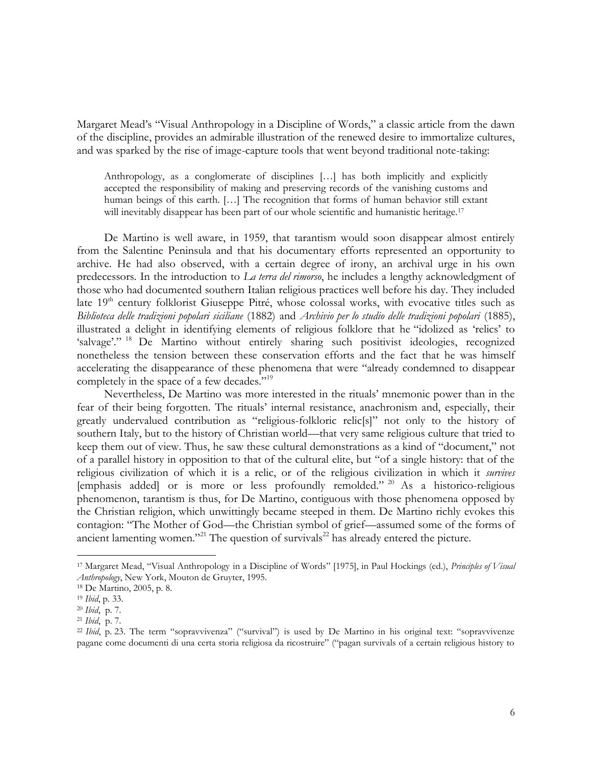Margaret Mead's "Visual Anthropology in a Discipline of Words," a classic article from the dawn of the discipline, provides an admirable illustration of the renewed desire to immortalize cultures, and was sparked by the rise of image-capture tools that went beyond traditional note-taking:

Anthropology, as a conglomerate of disciplines […] has both implicitly and explicitly accepted the responsibility of making and preserving records of the vanishing customs and human beings of this earth. […] The recognition that forms of human behavior still extant will inevitably disappear has been part of our whole scientific and humanistic heritage.<sup>17</sup>

De Martino is well aware, in 1959, that tarantism would soon disappear almost entirely from the Salentine Peninsula and that his documentary efforts represented an opportunity to archive. He had also observed, with a certain degree of irony, an archival urge in his own predecessors. In the introduction to *La terra del rimorso*, he includes a lengthy acknowledgment of those who had documented southern Italian religious practices well before his day. They included late  $19<sup>th</sup>$  century folklorist Giuseppe Pitré, whose colossal works, with evocative titles such as *Biblioteca delle tradizioni popolari siciliane* (1882) and *Archivio per lo studio delle tradizioni popolari* (1885), illustrated a delight in identifying elements of religious folklore that he "idolized as 'relics' to 'salvage'." <sup>18</sup> De Martino without entirely sharing such positivist ideologies, recognized nonetheless the tension between these conservation efforts and the fact that he was himself accelerating the disappearance of these phenomena that were "already condemned to disappear completely in the space of a few decades."<sup>19</sup>

Nevertheless, De Martino was more interested in the rituals' mnemonic power than in the fear of their being forgotten. The rituals' internal resistance, anachronism and, especially, their greatly undervalued contribution as "religious-folkloric relic[s]" not only to the history of southern Italy, but to the history of Christian world—that very same religious culture that tried to keep them out of view. Thus, he saw these cultural demonstrations as a kind of "document," not of a parallel history in opposition to that of the cultural elite, but "of a single history: that of the religious civilization of which it is a relic, or of the religious civilization in which it *survives* [emphasis added] or is more or less profoundly remolded." <sup>20</sup> As a historico-religious phenomenon, tarantism is thus, for De Martino, contiguous with those phenomena opposed by the Christian religion, which unwittingly became steeped in them. De Martino richly evokes this contagion: "The Mother of God—the Christian symbol of grief—assumed some of the forms of ancient lamenting women."<sup>21</sup> The question of survivals<sup>22</sup> has already entered the picture.

<sup>17</sup> Margaret Mead, "Visual Anthropology in a Discipline of Words" [1975], in Paul Hockings (ed.), *Principles of Visual Anthropology*, New York, Mouton de Gruyter, 1995.

<sup>18</sup> De Martino, 2005, p. 8.

<sup>19</sup> *Ibid*, p. 33.

<sup>20</sup> *Ibid*, p. 7.

<sup>21</sup> *Ibid*, p. 7.

<sup>&</sup>lt;sup>22</sup> *Ibid*, p. 23. The term "sopravvivenza" ("survival") is used by De Martino in his original text: "sopravvivenze pagane come documenti di una certa storia religiosa da ricostruire" ("pagan survivals of a certain religious history to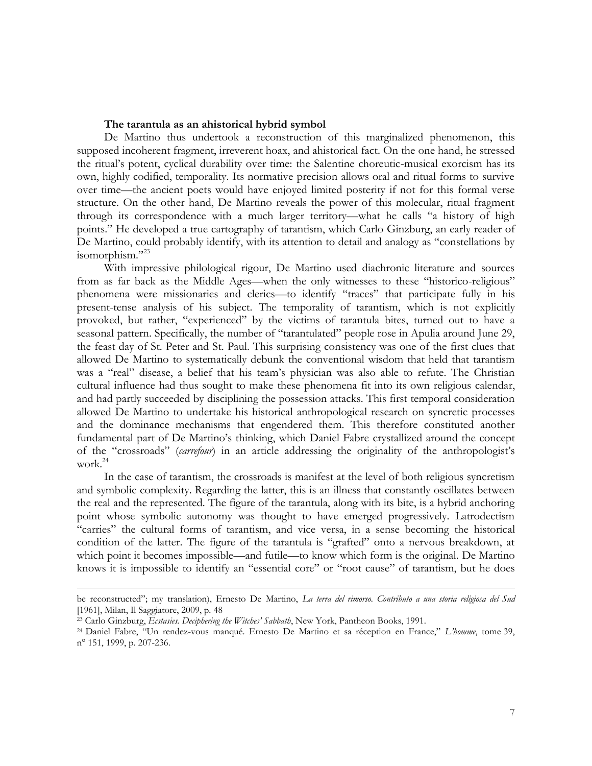#### **The tarantula as an ahistorical hybrid symbol**

De Martino thus undertook a reconstruction of this marginalized phenomenon, this supposed incoherent fragment, irreverent hoax, and ahistorical fact. On the one hand, he stressed the ritual's potent, cyclical durability over time: the Salentine choreutic-musical exorcism has its own, highly codified, temporality. Its normative precision allows oral and ritual forms to survive over time—the ancient poets would have enjoyed limited posterity if not for this formal verse structure. On the other hand, De Martino reveals the power of this molecular, ritual fragment through its correspondence with a much larger territory—what he calls "a history of high points." He developed a true cartography of tarantism, which Carlo Ginzburg, an early reader of De Martino, could probably identify, with its attention to detail and analogy as "constellations by isomorphism."<sup>23</sup>

With impressive philological rigour, De Martino used diachronic literature and sources from as far back as the Middle Ages—when the only witnesses to these "historico-religious" phenomena were missionaries and clerics—to identify "traces" that participate fully in his present-tense analysis of his subject. The temporality of tarantism, which is not explicitly provoked, but rather, "experienced" by the victims of tarantula bites, turned out to have a seasonal pattern. Specifically, the number of "tarantulated" people rose in Apulia around June 29, the feast day of St. Peter and St. Paul. This surprising consistency was one of the first clues that allowed De Martino to systematically debunk the conventional wisdom that held that tarantism was a "real" disease, a belief that his team's physician was also able to refute. The Christian cultural influence had thus sought to make these phenomena fit into its own religious calendar, and had partly succeeded by disciplining the possession attacks. This first temporal consideration allowed De Martino to undertake his historical anthropological research on syncretic processes and the dominance mechanisms that engendered them. This therefore constituted another fundamental part of De Martino's thinking, which Daniel Fabre crystallized around the concept of the "crossroads" (*carrefour*) in an article addressing the originality of the anthropologist's work. 24

In the case of tarantism, the crossroads is manifest at the level of both religious syncretism and symbolic complexity. Regarding the latter, this is an illness that constantly oscillates between the real and the represented. The figure of the tarantula, along with its bite, is a hybrid anchoring point whose symbolic autonomy was thought to have emerged progressively. Latrodectism "carries" the cultural forms of tarantism, and vice versa, in a sense becoming the historical condition of the latter. The figure of the tarantula is "grafted" onto a nervous breakdown, at which point it becomes impossible—and futile—to know which form is the original. De Martino knows it is impossible to identify an "essential core" or "root cause" of tarantism, but he does

1

be reconstructed"; my translation), Ernesto De Martino, *La terra del rimorso. Contributo a una storia religiosa del Sud*  [1961], Milan, Il Saggiatore, 2009, p. 48

<sup>23</sup> Carlo Ginzburg, *Ecstasies. Deciphering the Witches' Sabbath*, New York, Pantheon Books, 1991.

<sup>24</sup> Daniel Fabre, "Un rendez-vous manqué. Ernesto De Martino et sa réception en France," *L'homme*, tome 39, n° 151, 1999, p. 207-236.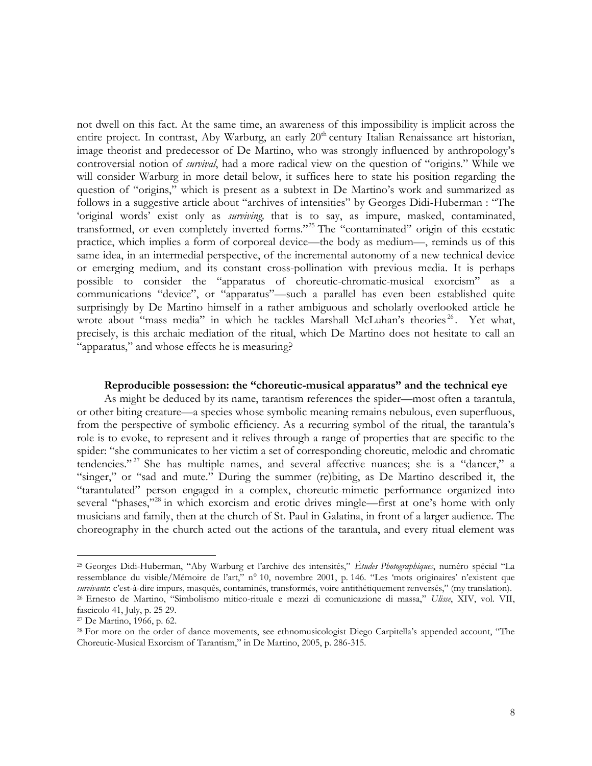not dwell on this fact. At the same time, an awareness of this impossibility is implicit across the entire project. In contrast, Aby Warburg, an early  $20<sup>th</sup>$  century Italian Renaissance art historian, image theorist and predecessor of De Martino, who was strongly influenced by anthropology's controversial notion of *survival*, had a more radical view on the question of "origins." While we will consider Warburg in more detail below, it suffices here to state his position regarding the question of "origins," which is present as a subtext in De Martino's work and summarized as follows in a suggestive article about "archives of intensities" by Georges Didi-Huberman : "The 'original words' exist only as *surviving,* that is to say, as impure, masked, contaminated, transformed, or even completely inverted forms."<sup>25</sup> The "contaminated" origin of this ecstatic practice, which implies a form of corporeal device—the body as medium—, reminds us of this same idea, in an intermedial perspective, of the incremental autonomy of a new technical device or emerging medium, and its constant cross-pollination with previous media. It is perhaps possible to consider the "apparatus of choreutic-chromatic-musical exorcism" as a communications "device", or "apparatus"—such a parallel has even been established quite surprisingly by De Martino himself in a rather ambiguous and scholarly overlooked article he wrote about "mass media" in which he tackles Marshall McLuhan's theories<sup>26</sup>. Yet what, precisely, is this archaic mediation of the ritual, which De Martino does not hesitate to call an "apparatus," and whose effects he is measuring?

# **Reproducible possession: the "choreutic-musical apparatus" and the technical eye**

As might be deduced by its name, tarantism references the spider—most often a tarantula, or other biting creature—a species whose symbolic meaning remains nebulous, even superfluous, from the perspective of symbolic efficiency. As a recurring symbol of the ritual, the tarantula's role is to evoke, to represent and it relives through a range of properties that are specific to the spider: "she communicates to her victim a set of corresponding choreutic, melodic and chromatic tendencies." <sup>27</sup> She has multiple names, and several affective nuances; she is a "dancer," a "singer," or "sad and mute." During the summer (re)biting, as De Martino described it, the "tarantulated" person engaged in a complex, choreutic-mimetic performance organized into several "phases,"<sup>28</sup> in which exorcism and erotic drives mingle—first at one's home with only musicians and family, then at the church of St. Paul in Galatina, in front of a larger audience. The choreography in the church acted out the actions of the tarantula, and every ritual element was

<sup>25</sup> Georges Didi-Huberman, "Aby Warburg et l'archive des intensités," *Études Photographiques*, numéro spécial "La ressemblance du visible/Mémoire de l'art," n° 10, novembre 2001, p. 146. "Les 'mots originaires' n'existent que *survivants*: c'est-à-dire impurs, masqués, contaminés, transformés, voire antithétiquement renversés," (my translation). <sup>26</sup> Ernesto de Martino, "Simbolismo mitico-rituale e mezzi di comunicazione di massa," *Ulisse*, XIV, vol. VII, fascicolo 41, July, p. 25 29.

<sup>27</sup> De Martino, 1966, p. 62.

<sup>28</sup> For more on the order of dance movements, see ethnomusicologist Diego Carpitella's appended account, "The Choreutic-Musical Exorcism of Tarantism," in De Martino, 2005, p. 286-315.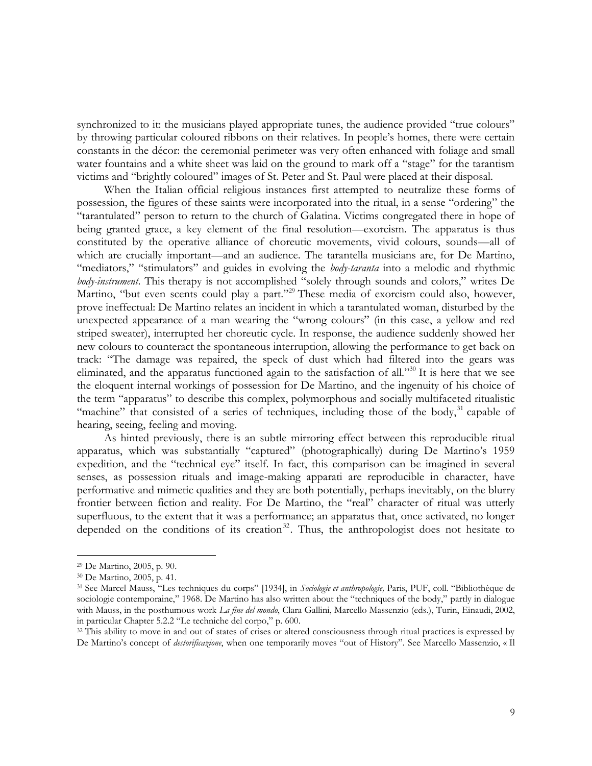synchronized to it: the musicians played appropriate tunes, the audience provided "true colours" by throwing particular coloured ribbons on their relatives. In people's homes, there were certain constants in the décor: the ceremonial perimeter was very often enhanced with foliage and small water fountains and a white sheet was laid on the ground to mark off a "stage" for the tarantism victims and "brightly coloured" images of St. Peter and St. Paul were placed at their disposal.

When the Italian official religious instances first attempted to neutralize these forms of possession, the figures of these saints were incorporated into the ritual, in a sense "ordering" the "tarantulated" person to return to the church of Galatina. Victims congregated there in hope of being granted grace, a key element of the final resolution—exorcism. The apparatus is thus constituted by the operative alliance of choreutic movements, vivid colours, sounds—all of which are crucially important—and an audience. The tarantella musicians are, for De Martino, "mediators," "stimulators" and guides in evolving the *body-taranta* into a melodic and rhythmic *body-instrument*. This therapy is not accomplished "solely through sounds and colors," writes De Martino, "but even scents could play a part."<sup>29</sup> These media of exorcism could also, however, prove ineffectual: De Martino relates an incident in which a tarantulated woman, disturbed by the unexpected appearance of a man wearing the "wrong colours" (in this case, a yellow and red striped sweater), interrupted her choreutic cycle. In response, the audience suddenly showed her new colours to counteract the spontaneous interruption, allowing the performance to get back on track: "The damage was repaired, the speck of dust which had filtered into the gears was eliminated, and the apparatus functioned again to the satisfaction of all."<sup>30</sup> It is here that we see the eloquent internal workings of possession for De Martino, and the ingenuity of his choice of the term "apparatus" to describe this complex, polymorphous and socially multifaceted ritualistic "machine" that consisted of a series of techniques, including those of the body,  $31$  capable of hearing, seeing, feeling and moving.

As hinted previously, there is an subtle mirroring effect between this reproducible ritual apparatus, which was substantially "captured" (photographically) during De Martino's 1959 expedition, and the "technical eye" itself. In fact, this comparison can be imagined in several senses, as possession rituals and image-making apparati are reproducible in character, have performative and mimetic qualities and they are both potentially, perhaps inevitably, on the blurry frontier between fiction and reality. For De Martino, the "real" character of ritual was utterly superfluous, to the extent that it was a performance; an apparatus that, once activated, no longer depended on the conditions of its creation<sup>32</sup>. Thus, the anthropologist does not hesitate to

<sup>29</sup> De Martino, 2005, p. 90.

<sup>30</sup> De Martino, 2005, p. 41.

<sup>31</sup> See Marcel Mauss, "Les techniques du corps" [1934], in *Sociologie et anthropologie,* Paris, PUF, coll. "Bibliothèque de sociologie contemporaine," 1968. De Martino has also written about the "techniques of the body," partly in dialogue with Mauss, in the posthumous work *La fine del mondo*, Clara Gallini, Marcello Massenzio (eds.), Turin, Einaudi, 2002, in particular Chapter 5.2.2 "Le techniche del corpo," p. 600.

<sup>&</sup>lt;sup>32</sup> This ability to move in and out of states of crises or altered consciousness through ritual practices is expressed by De Martino's concept of *destorificazione*, when one temporarily moves "out of History". See Marcello Massenzio, « Il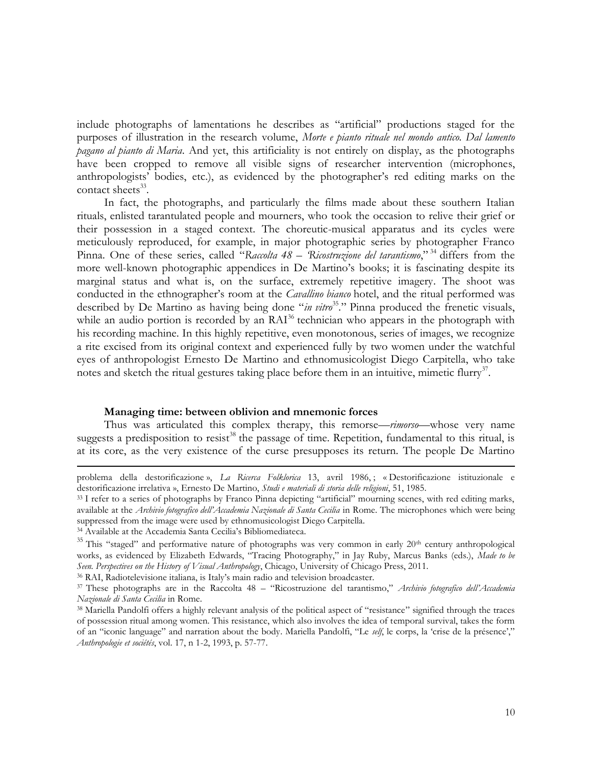include photographs of lamentations he describes as "artificial" productions staged for the purposes of illustration in the research volume, *Morte e pianto rituale nel mondo antico. Dal lamento pagano al pianto di Maria*. And yet, this artificiality is not entirely on display, as the photographs have been cropped to remove all visible signs of researcher intervention (microphones, anthropologists' bodies, etc.), as evidenced by the photographer's red editing marks on the contact sheets<sup>33</sup>.

In fact, the photographs, and particularly the films made about these southern Italian rituals, enlisted tarantulated people and mourners, who took the occasion to relive their grief or their possession in a staged context. The choreutic-musical apparatus and its cycles were meticulously reproduced, for example, in major photographic series by photographer Franco Pinna. One of these series, called "*Raccolta 48 – 'Ricostruzione del tarantismo*," <sup>34</sup> differs from the more well-known photographic appendices in De Martino's books; it is fascinating despite its marginal status and what is, on the surface, extremely repetitive imagery. The shoot was conducted in the ethnographer's room at the *Cavallino bianco* hotel, and the ritual performed was described by De Martino as having being done "*in vitro*<sup>35</sup>." Pinna produced the frenetic visuals, while an audio portion is recorded by an  $\text{RAI}^{36}$  technician who appears in the photograph with his recording machine. In this highly repetitive, even monotonous, series of images, we recognize a rite excised from its original context and experienced fully by two women under the watchful eyes of anthropologist Ernesto De Martino and ethnomusicologist Diego Carpitella, who take notes and sketch the ritual gestures taking place before them in an intuitive, mimetic flurry<sup>37</sup>.

#### **Managing time: between oblivion and mnemonic forces**

Thus was articulated this complex therapy, this remorse—*rimorso*—whose very name suggests a predisposition to resist<sup>38</sup> the passage of time. Repetition, fundamental to this ritual, is at its core, as the very existence of the curse presupposes its return. The people De Martino

<u>.</u>

problema della destorificazione », *La Ricerca Folklorica* 13, avril 1986, ; « Destorificazione istituzionale e destorificazione irrelativa », Ernesto De Martino, *Studi e materiali di storia delle religioni*, 51, 1985.

<sup>&</sup>lt;sup>33</sup> I refer to a series of photographs by Franco Pinna depicting "artificial" mourning scenes, with red editing marks, available at the *Archivio fotografico dell'Accademia Nazionale di Santa Cecilia* in Rome. The microphones which were being suppressed from the image were used by ethnomusicologist Diego Carpitella.

<sup>34</sup> Available at the Accademia Santa Cecilia's Bibliomediateca.

 $35$  This "staged" and performative nature of photographs was very common in early  $20<sup>th</sup>$  century anthropological works, as evidenced by Elizabeth Edwards, "Tracing Photography," in Jay Ruby, Marcus Banks (eds.), *Made to be Seen. Perspectives on the History of Visual Anthropology*, Chicago, University of Chicago Press, 2011.

<sup>36</sup> RAI, Radiotelevisione italiana, is Italy's main radio and television broadcaster.

<sup>37</sup> These photographs are in the Raccolta 48 – "Ricostruzione del tarantismo," *Archivio fotografico dell'Accademia Nazionale di Santa Cecilia* in Rome.

<sup>38</sup> Mariella Pandolfi offers a highly relevant analysis of the political aspect of "resistance" signified through the traces of possession ritual among women. This resistance, which also involves the idea of temporal survival, takes the form of an "iconic language" and narration about the body. Mariella Pandolfi, "Le *self*, le corps, la 'crise de la présence'," *Anthropologie et sociétés*, vol. 17, n 1-2, 1993, p. 57-77.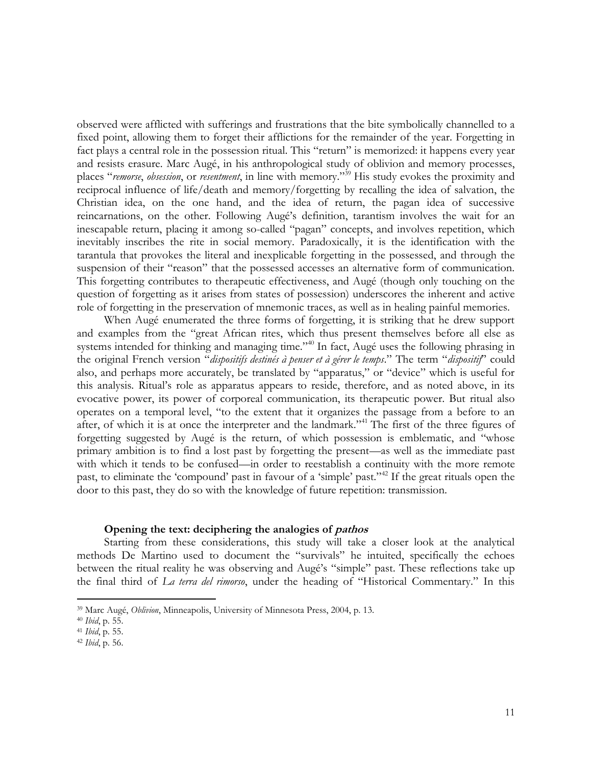observed were afflicted with sufferings and frustrations that the bite symbolically channelled to a fixed point, allowing them to forget their afflictions for the remainder of the year. Forgetting in fact plays a central role in the possession ritual. This "return" is memorized: it happens every year and resists erasure. Marc Augé, in his anthropological study of oblivion and memory processes, places "*remorse*, *obsession*, or *resentment*, in line with memory."<sup>39</sup> His study evokes the proximity and reciprocal influence of life/death and memory/forgetting by recalling the idea of salvation, the Christian idea, on the one hand, and the idea of return, the pagan idea of successive reincarnations, on the other. Following Augé's definition, tarantism involves the wait for an inescapable return, placing it among so-called "pagan" concepts, and involves repetition, which inevitably inscribes the rite in social memory. Paradoxically, it is the identification with the tarantula that provokes the literal and inexplicable forgetting in the possessed, and through the suspension of their "reason" that the possessed accesses an alternative form of communication. This forgetting contributes to therapeutic effectiveness, and Augé (though only touching on the question of forgetting as it arises from states of possession) underscores the inherent and active role of forgetting in the preservation of mnemonic traces, as well as in healing painful memories.

When Augé enumerated the three forms of forgetting, it is striking that he drew support and examples from the "great African rites, which thus present themselves before all else as systems intended for thinking and managing time."<sup>40</sup> In fact, Augé uses the following phrasing in the original French version "*dispositifs destinés à penser et à gérer le temps*." The term "*dispositif*" could also, and perhaps more accurately, be translated by "apparatus," or "device" which is useful for this analysis. Ritual's role as apparatus appears to reside, therefore, and as noted above, in its evocative power, its power of corporeal communication, its therapeutic power. But ritual also operates on a temporal level, "to the extent that it organizes the passage from a before to an after, of which it is at once the interpreter and the landmark."<sup>41</sup> The first of the three figures of forgetting suggested by Augé is the return, of which possession is emblematic, and "whose primary ambition is to find a lost past by forgetting the present—as well as the immediate past with which it tends to be confused—in order to reestablish a continuity with the more remote past, to eliminate the 'compound' past in favour of a 'simple' past."<sup>42</sup> If the great rituals open the door to this past, they do so with the knowledge of future repetition: transmission.

#### **Opening the text: deciphering the analogies of pathos**

Starting from these considerations, this study will take a closer look at the analytical methods De Martino used to document the "survivals" he intuited, specifically the echoes between the ritual reality he was observing and Augé's "simple" past. These reflections take up the final third of *La terra del rimorso*, under the heading of "Historical Commentary." In this

<sup>39</sup> Marc Augé, *Oblivion*, Minneapolis, University of Minnesota Press, 2004, p. 13.

<sup>40</sup> *Ibid*, p. 55.

<sup>41</sup> *Ibid*, p. 55.

<sup>42</sup> *Ibid*, p. 56.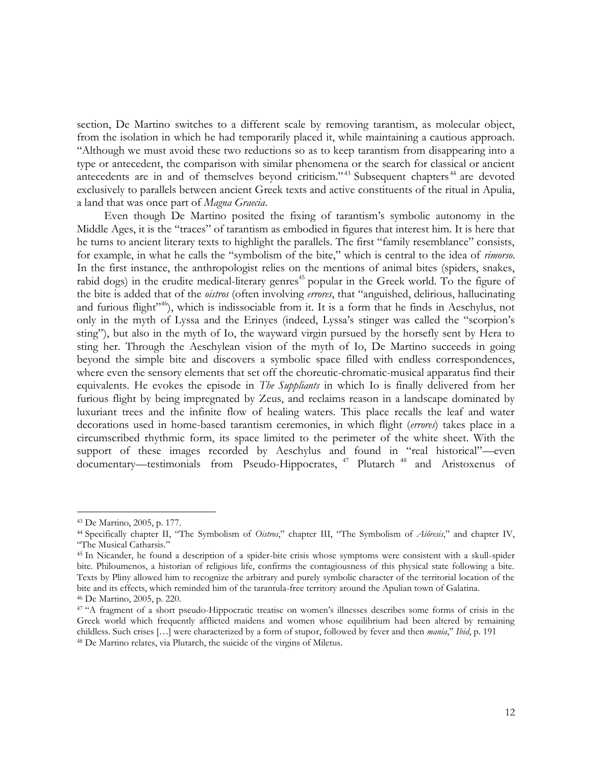section, De Martino switches to a different scale by removing tarantism, as molecular object, from the isolation in which he had temporarily placed it, while maintaining a cautious approach. "Although we must avoid these two reductions so as to keep tarantism from disappearing into a type or antecedent, the comparison with similar phenomena or the search for classical or ancient antecedents are in and of themselves beyond criticism."<sup>43</sup> Subsequent chapters<sup> $44$ </sup> are devoted exclusively to parallels between ancient Greek texts and active constituents of the ritual in Apulia, a land that was once part of *Magna Graecia*.

Even though De Martino posited the fixing of tarantism's symbolic autonomy in the Middle Ages, it is the "traces" of tarantism as embodied in figures that interest him. It is here that he turns to ancient literary texts to highlight the parallels. The first "family resemblance" consists, for example, in what he calls the "symbolism of the bite," which is central to the idea of *rimorso*. In the first instance, the anthropologist relies on the mentions of animal bites (spiders, snakes, rabid dogs) in the erudite medical-literary genres<sup>45</sup> popular in the Greek world. To the figure of the bite is added that of the *oistros* (often involving *errores*, that "anguished, delirious, hallucinating and furious flight"<sup>46</sup>), which is indissociable from it. It is a form that he finds in Aeschylus, not only in the myth of Lyssa and the Erinyes (indeed, Lyssa's stinger was called the "scorpion's sting"), but also in the myth of Io, the wayward virgin pursued by the horsefly sent by Hera to sting her. Through the Aeschylean vision of the myth of Io, De Martino succeeds in going beyond the simple bite and discovers a symbolic space filled with endless correspondences, where even the sensory elements that set off the choreutic-chromatic-musical apparatus find their equivalents. He evokes the episode in *The Suppliants* in which Io is finally delivered from her furious flight by being impregnated by Zeus, and reclaims reason in a landscape dominated by luxuriant trees and the infinite flow of healing waters. This place recalls the leaf and water decorations used in home-based tarantism ceremonies, in which flight (*errores*) takes place in a circumscribed rhythmic form, its space limited to the perimeter of the white sheet. With the support of these images recorded by Aeschylus and found in "real historical"—even documentary—testimonials from Pseudo-Hippocrates, <sup>47</sup> Plutarch<sup>48</sup> and Aristoxenus of

<sup>43</sup> De Martino, 2005, p. 177.

<sup>44</sup> Specifically chapter II, "The Symbolism of *Oistros*," chapter III, "The Symbolism of *Aiôresis*," and chapter IV, "The Musical Catharsis."

<sup>45</sup> In Nicander, he found a description of a spider-bite crisis whose symptoms were consistent with a skull-spider bite. Philoumenos, a historian of religious life, confirms the contagiousness of this physical state following a bite. Texts by Pliny allowed him to recognize the arbitrary and purely symbolic character of the territorial location of the bite and its effects, which reminded him of the tarantula-free territory around the Apulian town of Galatina.

<sup>46</sup> De Martino, 2005, p. 220.

<sup>47</sup> "A fragment of a short pseudo-Hippocratic treatise on women's illnesses describes some forms of crisis in the Greek world which frequently afflicted maidens and women whose equilibrium had been altered by remaining childless. Such crises […] were characterized by a form of stupor, followed by fever and then *mania*," *Ibid*, p. 191 <sup>48</sup> De Martino relates, via Plutarch, the suicide of the virgins of Miletus.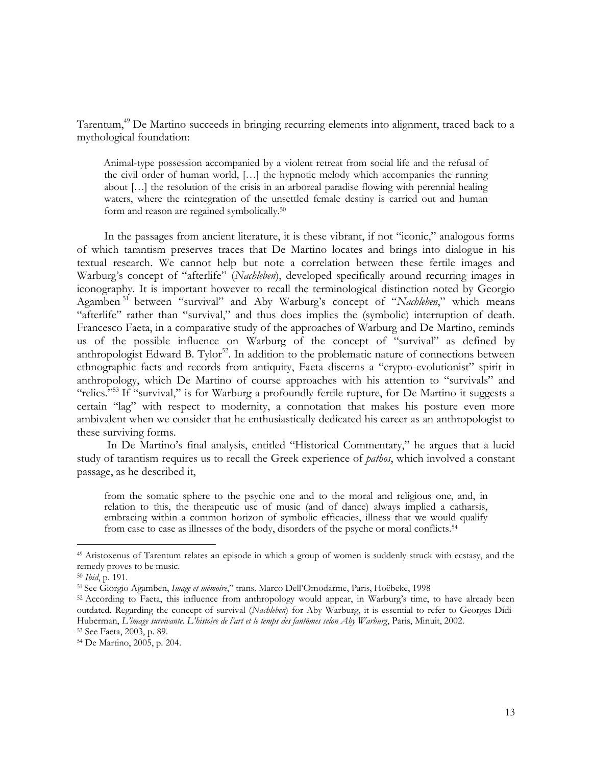Tarentum,<sup>49</sup> De Martino succeeds in bringing recurring elements into alignment, traced back to a mythological foundation:

Animal-type possession accompanied by a violent retreat from social life and the refusal of the civil order of human world, […] the hypnotic melody which accompanies the running about […] the resolution of the crisis in an arboreal paradise flowing with perennial healing waters, where the reintegration of the unsettled female destiny is carried out and human form and reason are regained symbolically.<sup>50</sup>

In the passages from ancient literature, it is these vibrant, if not "iconic," analogous forms of which tarantism preserves traces that De Martino locates and brings into dialogue in his textual research. We cannot help but note a correlation between these fertile images and Warburg's concept of "afterlife" (*Nachleben*), developed specifically around recurring images in iconography. It is important however to recall the terminological distinction noted by Georgio Agamben <sup>51</sup> between "survival" and Aby Warburg's concept of "*Nachleben*," which means "afterlife" rather than "survival," and thus does implies the (symbolic) interruption of death. Francesco Faeta, in a comparative study of the approaches of Warburg and De Martino, reminds us of the possible influence on Warburg of the concept of "survival" as defined by anthropologist Edward B. Tylor<sup>52</sup>. In addition to the problematic nature of connections between ethnographic facts and records from antiquity, Faeta discerns a "crypto-evolutionist" spirit in anthropology, which De Martino of course approaches with his attention to "survivals" and "relics."<sup>53</sup> If "survival," is for Warburg a profoundly fertile rupture, for De Martino it suggests a certain "lag" with respect to modernity, a connotation that makes his posture even more ambivalent when we consider that he enthusiastically dedicated his career as an anthropologist to these surviving forms.

In De Martino's final analysis, entitled "Historical Commentary," he argues that a lucid study of tarantism requires us to recall the Greek experience of *pathos*, which involved a constant passage, as he described it,

from the somatic sphere to the psychic one and to the moral and religious one, and, in relation to this, the therapeutic use of music (and of dance) always implied a catharsis, embracing within a common horizon of symbolic efficacies, illness that we would qualify from case to case as illnesses of the body, disorders of the psyche or moral conflicts.<sup>54</sup>

<sup>&</sup>lt;sup>49</sup> Aristoxenus of Tarentum relates an episode in which a group of women is suddenly struck with ecstasy, and the remedy proves to be music.

<sup>50</sup> *Ibid*, p. 191.

<sup>51</sup> See Giorgio Agamben, *Image et mémoire*," trans. Marco Dell'Omodarme, Paris, Hoëbeke, 1998

<sup>52</sup> According to Faeta, this influence from anthropology would appear, in Warburg's time, to have already been outdated. Regarding the concept of survival (*Nachleben*) for Aby Warburg, it is essential to refer to Georges Didi-Huberman, *L'image survivante. L'histoire de l'art et le temps des fantômes selon Aby Warburg*, Paris, Minuit, 2002. <sup>53</sup> See Faeta, 2003, p. 89.

<sup>54</sup> De Martino, 2005, p. 204.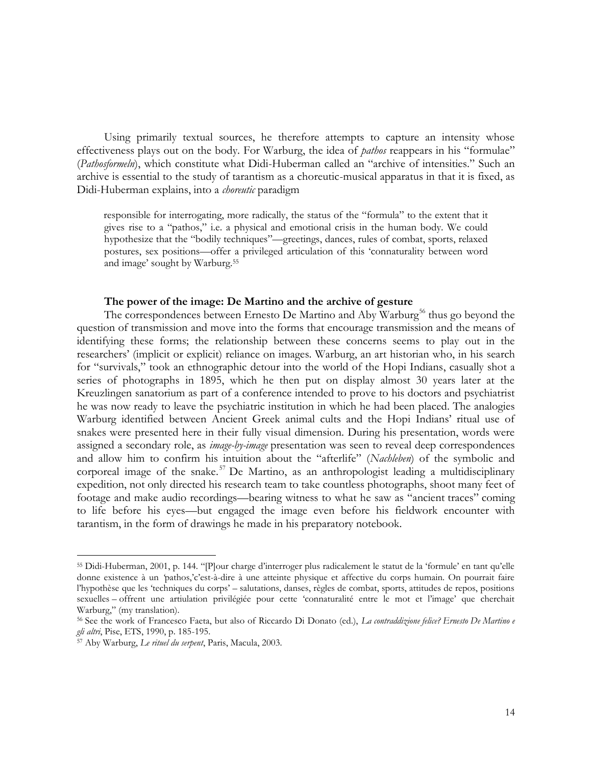Using primarily textual sources, he therefore attempts to capture an intensity whose effectiveness plays out on the body. For Warburg, the idea of *pathos* reappears in his "formulae" (*Pathosformeln*), which constitute what Didi-Huberman called an "archive of intensities." Such an archive is essential to the study of tarantism as a choreutic-musical apparatus in that it is fixed, as Didi-Huberman explains, into a *choreutic* paradigm

responsible for interrogating, more radically, the status of the "formula" to the extent that it gives rise to a "pathos," i.e. a physical and emotional crisis in the human body. We could hypothesize that the "bodily techniques"—greetings, dances, rules of combat, sports, relaxed postures, sex positions—offer a privileged articulation of this 'connaturality between word and image' sought by Warburg.<sup>55</sup>

#### **The power of the image: De Martino and the archive of gesture**

The correspondences between Ernesto De Martino and Aby Warburg<sup>56</sup> thus go beyond the question of transmission and move into the forms that encourage transmission and the means of identifying these forms; the relationship between these concerns seems to play out in the researchers' (implicit or explicit) reliance on images. Warburg, an art historian who, in his search for "survivals," took an ethnographic detour into the world of the Hopi Indians, casually shot a series of photographs in 1895, which he then put on display almost 30 years later at the Kreuzlingen sanatorium as part of a conference intended to prove to his doctors and psychiatrist he was now ready to leave the psychiatric institution in which he had been placed. The analogies Warburg identified between Ancient Greek animal cults and the Hopi Indians' ritual use of snakes were presented here in their fully visual dimension. During his presentation, words were assigned a secondary role, as *image-by-image* presentation was seen to reveal deep correspondences and allow him to confirm his intuition about the "afterlife" (*Nachleben*) of the symbolic and corporeal image of the snake.<sup>57</sup> De Martino, as an anthropologist leading a multidisciplinary expedition, not only directed his research team to take countless photographs, shoot many feet of footage and make audio recordings—bearing witness to what he saw as "ancient traces" coming to life before his eyes—but engaged the image even before his fieldwork encounter with tarantism, in the form of drawings he made in his preparatory notebook.

<sup>55</sup> Didi-Huberman, 2001, p. 144. "[P]our charge d'interroger plus radicalement le statut de la 'formule' en tant qu'elle donne existence à un *'*pathos,'c'est-à-dire à une atteinte physique et affective du corps humain. On pourrait faire l'hypothèse que les 'techniques du corps' – salutations, danses, règles de combat, sports, attitudes de repos, positions sexuelles – offrent une artiulation privilégiée pour cette 'connaturalité entre le mot et l'image' que cherchait Warburg," (my translation).

<sup>56</sup> See the work of Francesco Faeta, but also of Riccardo Di Donato (ed.), *La contraddizione felice? Ernesto De Martino e gli altri*, Pise, ETS, 1990, p. 185-195.

<sup>57</sup> Aby Warburg, *Le rituel du serpent*, Paris, Macula, 2003.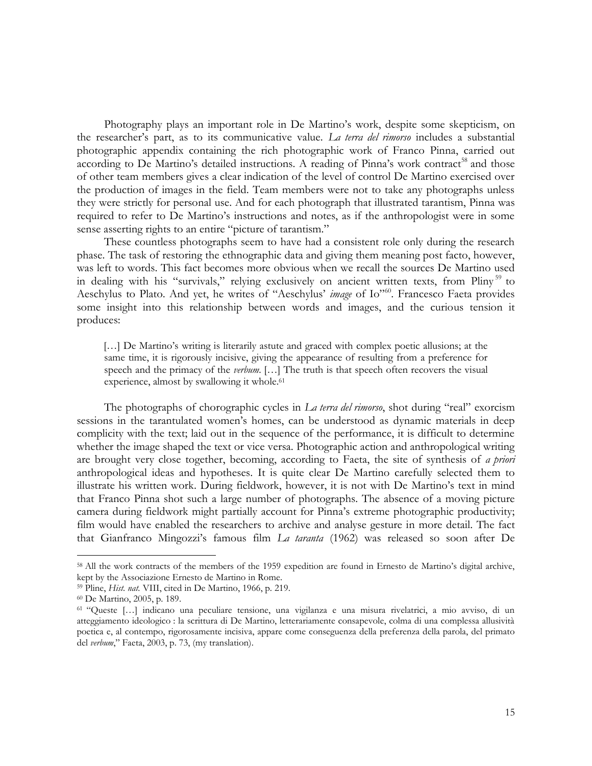Photography plays an important role in De Martino's work, despite some skepticism, on the researcher's part, as to its communicative value. *La terra del rimorso* includes a substantial photographic appendix containing the rich photographic work of Franco Pinna, carried out according to De Martino's detailed instructions. A reading of Pinna's work contract<sup>58</sup> and those of other team members gives a clear indication of the level of control De Martino exercised over the production of images in the field. Team members were not to take any photographs unless they were strictly for personal use. And for each photograph that illustrated tarantism, Pinna was required to refer to De Martino's instructions and notes, as if the anthropologist were in some sense asserting rights to an entire "picture of tarantism."

These countless photographs seem to have had a consistent role only during the research phase. The task of restoring the ethnographic data and giving them meaning post facto, however, was left to words. This fact becomes more obvious when we recall the sources De Martino used in dealing with his "survivals," relying exclusively on ancient written texts, from Pliny<sup>59</sup> to Aeschylus to Plato. And yet, he writes of "Aeschylus' *image* of Io"<sup>60</sup>. Francesco Faeta provides some insight into this relationship between words and images, and the curious tension it produces:

[...] De Martino's writing is literarily astute and graced with complex poetic allusions; at the same time, it is rigorously incisive, giving the appearance of resulting from a preference for speech and the primacy of the *verbum.* […] The truth is that speech often recovers the visual experience, almost by swallowing it whole.<sup>61</sup>

The photographs of chorographic cycles in *La terra del rimorso*, shot during "real" exorcism sessions in the tarantulated women's homes, can be understood as dynamic materials in deep complicity with the text; laid out in the sequence of the performance, it is difficult to determine whether the image shaped the text or vice versa. Photographic action and anthropological writing are brought very close together, becoming, according to Faeta, the site of synthesis of *a priori*  anthropological ideas and hypotheses. It is quite clear De Martino carefully selected them to illustrate his written work. During fieldwork, however, it is not with De Martino's text in mind that Franco Pinna shot such a large number of photographs. The absence of a moving picture camera during fieldwork might partially account for Pinna's extreme photographic productivity; film would have enabled the researchers to archive and analyse gesture in more detail. The fact that Gianfranco Mingozzi's famous film *La taranta* (1962) was released so soon after De

<sup>58</sup> All the work contracts of the members of the 1959 expedition are found in Ernesto de Martino's digital archive, kept by the Associazione Ernesto de Martino in Rome.

<sup>59</sup> Pline, *Hist. nat.* VIII, cited in De Martino, 1966, p. 219.

<sup>60</sup> De Martino, 2005, p. 189.

<sup>61</sup> "Queste […] indicano una peculiare tensione, una vigilanza e una misura rivelatrici, a mio avviso, di un atteggiamento ideologico : la scrittura di De Martino, letterariamente consapevole, colma di una complessa allusività poetica e, al contempo, rigorosamente incisiva, appare come conseguenza della preferenza della parola, del primato del *verbum*," Faeta, 2003, p. 73, (my translation).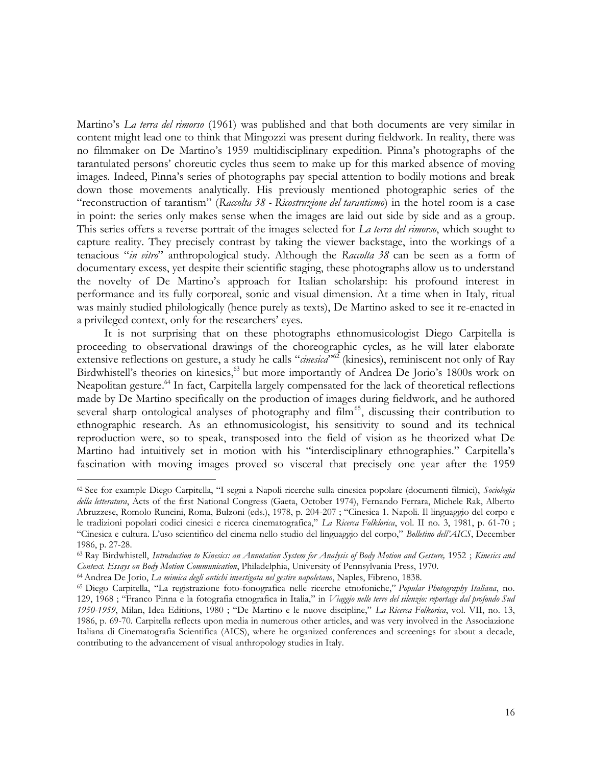Martino's *La terra del rimorso* (1961) was published and that both documents are very similar in content might lead one to think that Mingozzi was present during fieldwork. In reality, there was no filmmaker on De Martino's 1959 multidisciplinary expedition. Pinna's photographs of the tarantulated persons' choreutic cycles thus seem to make up for this marked absence of moving images. Indeed, Pinna's series of photographs pay special attention to bodily motions and break down those movements analytically. His previously mentioned photographic series of the "reconstruction of tarantism" (*Raccolta 38 - Ricostruzione del tarantismo*) in the hotel room is a case in point: the series only makes sense when the images are laid out side by side and as a group. This series offers a reverse portrait of the images selected for *La terra del rimorso*, which sought to capture reality. They precisely contrast by taking the viewer backstage, into the workings of a tenacious "*in vitro*" anthropological study. Although the *Raccolta 38* can be seen as a form of documentary excess, yet despite their scientific staging, these photographs allow us to understand the novelty of De Martino's approach for Italian scholarship: his profound interest in performance and its fully corporeal, sonic and visual dimension. At a time when in Italy, ritual was mainly studied philologically (hence purely as texts), De Martino asked to see it re-enacted in a privileged context, only for the researchers' eyes.

It is not surprising that on these photographs ethnomusicologist Diego Carpitella is proceeding to observational drawings of the choreographic cycles, as he will later elaborate extensive reflections on gesture, a study he calls "*cinesica*"<sup>62</sup> (kinesics), reminiscent not only of Ray Birdwhistell's theories on kinesics,<sup>63</sup> but more importantly of Andrea De Jorio's 1800s work on Neapolitan gesture.<sup>64</sup> In fact, Carpitella largely compensated for the lack of theoretical reflections made by De Martino specifically on the production of images during fieldwork, and he authored several sharp ontological analyses of photography and  $film<sup>65</sup>$ , discussing their contribution to ethnographic research. As an ethnomusicologist, his sensitivity to sound and its technical reproduction were, so to speak, transposed into the field of vision as he theorized what De Martino had intuitively set in motion with his "interdisciplinary ethnographies." Carpitella's fascination with moving images proved so visceral that precisely one year after the 1959

<sup>62</sup> See for example Diego Carpitella, "I segni a Napoli ricerche sulla cinesica popolare (documenti filmici), *Sociologia della letteratura*, Acts of the first National Congress (Gaeta, October 1974), Fernando Ferrara, Michele Rak, Alberto Abruzzese, Romolo Runcini, Roma, Bulzoni (eds.), 1978, p. 204-207 ; "Cinesica 1. Napoli. Il linguaggio del corpo e le tradizioni popolari codici cinesici e ricerca cinematografica," *La Ricerca Folklorica*, vol. II no. 3, 1981, p. 61-70 ; "Cinesica e cultura. L'uso scientifico del cinema nello studio del linguaggio del corpo," *Bolletino dell'AICS*, December 1986, p. 27-28.

<sup>63</sup> Ray Birdwhistell, *Introduction to Kinesics: an Annotation System for Analysis of Body Motion and Gesture,* 1952 ; *Kinesics and Context. Essays on Body Motion Communication*, Philadelphia, University of Pennsylvania Press, 1970.

<sup>64</sup>Andrea De Jorio, *La mimica degli antichi investigata nel gestire napoletano*, Naples, Fibreno, 1838.

<sup>65</sup> Diego Carpitella, "La registrazione foto-fonografica nelle ricerche etnofoniche," *Popular Photography Italiana*, no. 129, 1968 ; "Franco Pinna e la fotografia etnografica in Italia," in *Viaggio nelle terre del silenzio: reportage dal profondo Sud 1950-1959*, Milan, Idea Editions, 1980 ; "De Martino e le nuove discipline," *La Ricerca Folkorica*, vol. VII, no. 13, 1986, p. 69-70. Carpitella reflects upon media in numerous other articles, and was very involved in the Associazione Italiana di Cinematografia Scientifica (AICS), where he organized conferences and screenings for about a decade, contributing to the advancement of visual anthropology studies in Italy.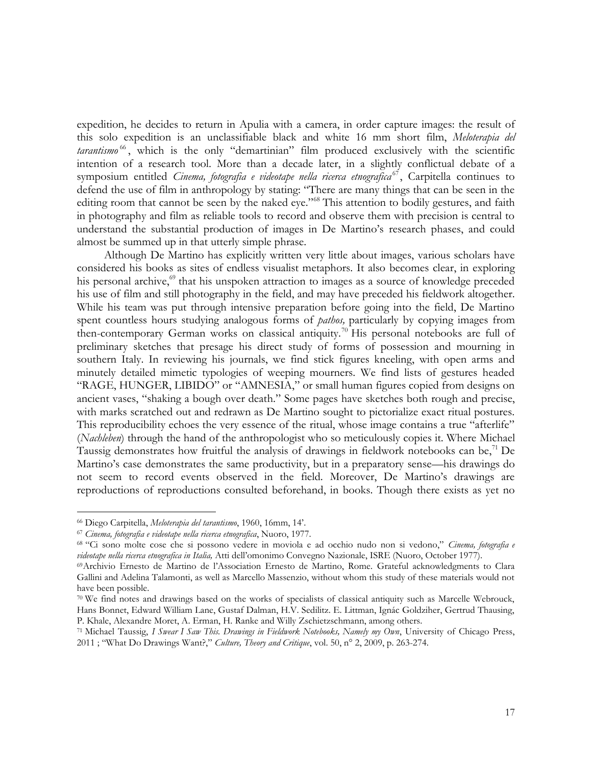expedition, he decides to return in Apulia with a camera, in order capture images: the result of this solo expedition is an unclassifiable black and white 16 mm short film, *Meloterapia del tarantismo* <sup>66</sup> , which is the only "demartinian" film produced exclusively with the scientific intention of a research tool. More than a decade later, in a slightly conflictual debate of a symposium entitled *Cinema, fotografia e videotape nella ricerca etnografica*<sup>67</sup>, Carpitella continues to defend the use of film in anthropology by stating: "There are many things that can be seen in the editing room that cannot be seen by the naked eye."<sup>68</sup> This attention to bodily gestures, and faith in photography and film as reliable tools to record and observe them with precision is central to understand the substantial production of images in De Martino's research phases, and could almost be summed up in that utterly simple phrase.

Although De Martino has explicitly written very little about images, various scholars have considered his books as sites of endless visualist metaphors. It also becomes clear, in exploring his personal archive,<sup>69</sup> that his unspoken attraction to images as a source of knowledge preceded his use of film and still photography in the field, and may have preceded his fieldwork altogether. While his team was put through intensive preparation before going into the field, De Martino spent countless hours studying analogous forms of *pathos,* particularly by copying images from then-contemporary German works on classical antiquity.<sup>70</sup> His personal notebooks are full of preliminary sketches that presage his direct study of forms of possession and mourning in southern Italy. In reviewing his journals, we find stick figures kneeling, with open arms and minutely detailed mimetic typologies of weeping mourners. We find lists of gestures headed "RAGE, HUNGER, LIBIDO" or "AMNESIA," or small human figures copied from designs on ancient vases, "shaking a bough over death." Some pages have sketches both rough and precise, with marks scratched out and redrawn as De Martino sought to pictorialize exact ritual postures. This reproducibility echoes the very essence of the ritual, whose image contains a true "afterlife" (*Nachleben*) through the hand of the anthropologist who so meticulously copies it. Where Michael Taussig demonstrates how fruitful the analysis of drawings in fieldwork notebooks can be,  $\frac{7}{1}$  De Martino's case demonstrates the same productivity, but in a preparatory sense—his drawings do not seem to record events observed in the field. Moreover, De Martino's drawings are reproductions of reproductions consulted beforehand, in books. Though there exists as yet no

<sup>66</sup> Diego Carpitella, *Meloterapia del tarantismo*, 1960, 16mm, 14'.

<sup>67</sup> *Cinema, fotografia e videotape nella ricerca etnografica*, Nuoro, 1977.

<sup>68</sup> "Ci sono molte cose che si possono vedere in moviola e ad occhio nudo non si vedono," *Cinema, fotografia e videotape nella ricerca etnografica in Italia,* Atti dell'omonimo Convegno Nazionale, ISRE (Nuoro, October 1977).

<sup>69</sup>Archivio Ernesto de Martino de l'Association Ernesto de Martino, Rome. Grateful acknowledgments to Clara Gallini and Adelina Talamonti, as well as Marcello Massenzio, without whom this study of these materials would not have been possible.

<sup>70</sup> We find notes and drawings based on the works of specialists of classical antiquity such as Marcelle Webrouck, Hans Bonnet, Edward William Lane, Gustaf Dalman, H.V. Sedilitz. E. Littman, Ignác Goldziher, Gertrud Thausing, P. Khale, Alexandre Moret, A. Erman, H. Ranke and Willy Zschietzschmann, among others.

<sup>71</sup> Michael Taussig, *I Swear I Saw This. Drawings in Fieldwork Notebooks, Namely my Own*, University of Chicago Press, 2011 ; "What Do Drawings Want?," *Culture, Theory and Critique*, vol. 50, n° 2, 2009, p. 263-274.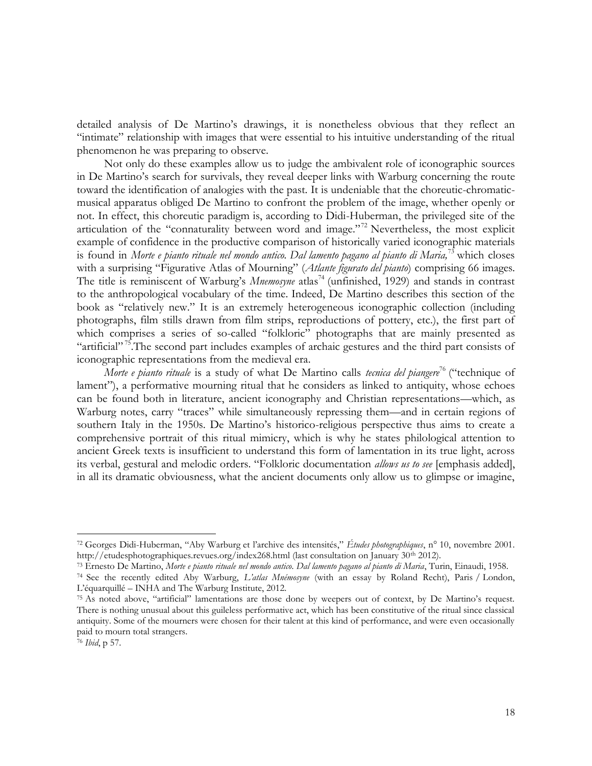detailed analysis of De Martino's drawings, it is nonetheless obvious that they reflect an "intimate" relationship with images that were essential to his intuitive understanding of the ritual phenomenon he was preparing to observe.

Not only do these examples allow us to judge the ambivalent role of iconographic sources in De Martino's search for survivals, they reveal deeper links with Warburg concerning the route toward the identification of analogies with the past. It is undeniable that the choreutic-chromaticmusical apparatus obliged De Martino to confront the problem of the image, whether openly or not. In effect, this choreutic paradigm is, according to Didi-Huberman, the privileged site of the articulation of the "connaturality between word and image."<sup>72</sup> Nevertheless, the most explicit example of confidence in the productive comparison of historically varied iconographic materials is found in *Morte e pianto rituale nel mondo antico. Dal lamento pagano al pianto di Maria,*<sup>73</sup> which closes with a surprising "Figurative Atlas of Mourning" (*Atlante figurato del pianto*) comprising 66 images. The title is reminiscent of Warburg's *Mnemosyne* atlas<sup>74</sup> (unfinished, 1929) and stands in contrast to the anthropological vocabulary of the time. Indeed, De Martino describes this section of the book as "relatively new." It is an extremely heterogeneous iconographic collection (including photographs, film stills drawn from film strips, reproductions of pottery, etc.), the first part of which comprises a series of so-called "folkloric" photographs that are mainly presented as "artificial"<sup>75</sup>. The second part includes examples of archaic gestures and the third part consists of iconographic representations from the medieval era.

*Morte e pianto rituale* is a study of what De Martino calls *tecnica del piangere*<sup>76</sup> ("technique of lament"), a performative mourning ritual that he considers as linked to antiquity, whose echoes can be found both in literature, ancient iconography and Christian representations—which, as Warburg notes, carry "traces" while simultaneously repressing them—and in certain regions of southern Italy in the 1950s. De Martino's historico-religious perspective thus aims to create a comprehensive portrait of this ritual mimicry, which is why he states philological attention to ancient Greek texts is insufficient to understand this form of lamentation in its true light, across its verbal, gestural and melodic orders. "Folkloric documentation *allows us to see* [emphasis added], in all its dramatic obviousness, what the ancient documents only allow us to glimpse or imagine,

<sup>72</sup> Georges Didi-Huberman, "Aby Warburg et l'archive des intensités," *Études photographiques*, n° 10, novembre 2001. http://etudesphotographiques.revues.org/index268.html (last consultation on January 30<sup>th</sup> 2012).

<sup>73</sup> Ernesto De Martino, *Morte e pianto rituale nel mondo antico. Dal lamento pagano al pianto di Maria*, Turin, Einaudi, 1958.

<sup>74</sup> See the recently edited Aby Warburg, *L'atlas Mnémosyne* (with an essay by Roland Recht), Paris / London, L'équarquillé – INHA and The Warburg Institute, 2012.

<sup>75</sup> As noted above, "artificial" lamentations are those done by weepers out of context, by De Martino's request. There is nothing unusual about this guileless performative act, which has been constitutive of the ritual since classical antiquity. Some of the mourners were chosen for their talent at this kind of performance, and were even occasionally paid to mourn total strangers.

<sup>76</sup> *Ibid*, p 57.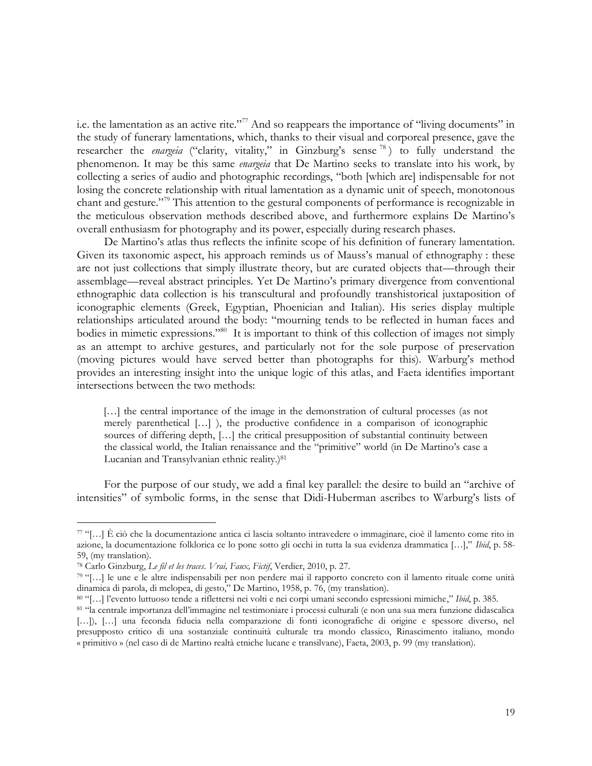i.e. the lamentation as an active rite."<sup>77</sup> And so reappears the importance of "living documents" in the study of funerary lamentations, which, thanks to their visual and corporeal presence, gave the researcher the *enargeia* ("clarity, vitality," in Ginzburg's sense<sup>78</sup>) to fully understand the phenomenon. It may be this same *enargeia* that De Martino seeks to translate into his work, by collecting a series of audio and photographic recordings, "both [which are] indispensable for not losing the concrete relationship with ritual lamentation as a dynamic unit of speech, monotonous chant and gesture."<sup>79</sup> This attention to the gestural components of performance is recognizable in the meticulous observation methods described above, and furthermore explains De Martino's overall enthusiasm for photography and its power, especially during research phases.

De Martino's atlas thus reflects the infinite scope of his definition of funerary lamentation. Given its taxonomic aspect, his approach reminds us of Mauss's manual of ethnography : these are not just collections that simply illustrate theory, but are curated objects that*—*through their assemblage*—*reveal abstract principles. Yet De Martino's primary divergence from conventional ethnographic data collection is his transcultural and profoundly transhistorical juxtaposition of iconographic elements (Greek, Egyptian, Phoenician and Italian). His series display multiple relationships articulated around the body: "mourning tends to be reflected in human faces and bodies in mimetic expressions."<sup>80</sup> It is important to think of this collection of images not simply as an attempt to archive gestures, and particularly not for the sole purpose of preservation (moving pictures would have served better than photographs for this). Warburg's method provides an interesting insight into the unique logic of this atlas, and Faeta identifies important intersections between the two methods:

[...] the central importance of the image in the demonstration of cultural processes (as not merely parenthetical […] ), the productive confidence in a comparison of iconographic sources of differing depth, […] the critical presupposition of substantial continuity between the classical world, the Italian renaissance and the "primitive" world (in De Martino's case a Lucanian and Transylvanian ethnic reality.)<sup>81</sup>

For the purpose of our study, we add a final key parallel: the desire to build an "archive of intensities" of symbolic forms, in the sense that Didi-Huberman ascribes to Warburg's lists of

<sup>77</sup> "[…] È ciò che la documentazione antica ci lascia soltanto intravedere o immaginare, cioè il lamento come rito in azione, la documentazione folklorica ce lo pone sotto gli occhi in tutta la sua evidenza drammatica […]," *Ibid*, p. 58- 59, (my translation).

<sup>78</sup> Carlo Ginzburg, *Le fil et les traces*. *Vrai, Faux, Fictif*, Verdier, 2010, p. 27.

<sup>79</sup> "[…] le une e le altre indispensabili per non perdere mai il rapporto concreto con il lamento rituale come unità dinamica di parola, di melopea, di gesto," De Martino, 1958, p. 76, (my translation).

<sup>80</sup> "[…] l'evento luttuoso tende a riflettersi nei volti e nei corpi umani secondo espressioni mimiche," *Ibid*, p. 385.

<sup>81</sup> "la centrale importanza dell'immagine nel testimoniare i processi culturali (e non una sua mera funzione didascalica [...]), [...] una feconda fiducia nella comparazione di fonti iconografiche di origine e spessore diverso, nel presupposto critico di una sostanziale continuità culturale tra mondo classico, Rinascimento italiano, mondo « primitivo » (nel caso di de Martino realtà etniche lucane e transilvane), Faeta, 2003, p. 99 (my translation).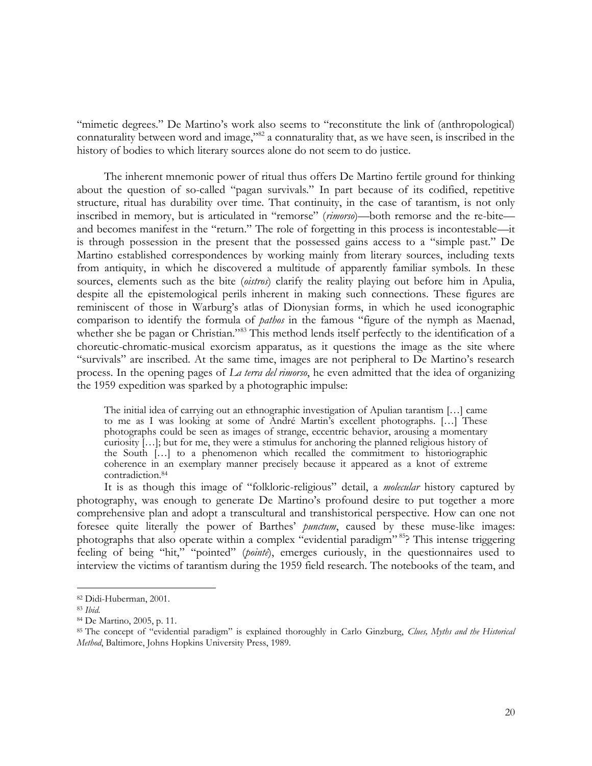"mimetic degrees." De Martino's work also seems to "reconstitute the link of (anthropological) connaturality between word and image,"82 a connaturality that, as we have seen, is inscribed in the history of bodies to which literary sources alone do not seem to do justice.

The inherent mnemonic power of ritual thus offers De Martino fertile ground for thinking about the question of so-called "pagan survivals." In part because of its codified, repetitive structure, ritual has durability over time. That continuity, in the case of tarantism, is not only inscribed in memory, but is articulated in "remorse" (*rimorso*)*—*both remorse and the re-bite and becomes manifest in the "return." The role of forgetting in this process is incontestable—it is through possession in the present that the possessed gains access to a "simple past." De Martino established correspondences by working mainly from literary sources, including texts from antiquity, in which he discovered a multitude of apparently familiar symbols. In these sources, elements such as the bite (*oistros*) clarify the reality playing out before him in Apulia, despite all the epistemological perils inherent in making such connections. These figures are reminiscent of those in Warburg's atlas of Dionysian forms, in which he used iconographic comparison to identify the formula of *pathos* in the famous "figure of the nymph as Maenad, whether she be pagan or Christian."<sup>83</sup> This method lends itself perfectly to the identification of a choreutic-chromatic-musical exorcism apparatus, as it questions the image as the site where "survivals" are inscribed. At the same time, images are not peripheral to De Martino's research process. In the opening pages of *La terra del rimorso*, he even admitted that the idea of organizing the 1959 expedition was sparked by a photographic impulse:

The initial idea of carrying out an ethnographic investigation of Apulian tarantism […] came to me as I was looking at some of André Martin's excellent photographs. […] These photographs could be seen as images of strange, eccentric behavior, arousing a momentary curiosity  $[\ldots]$ ; but for me, they were a stimulus for anchoring the planned religious history of the South […] to a phenomenon which recalled the commitment to historiographic coherence in an exemplary manner precisely because it appeared as a knot of extreme contradiction.<sup>84</sup>

It is as though this image of "folkloric-religious" detail, a *molecular* history captured by photography, was enough to generate De Martino's profound desire to put together a more comprehensive plan and adopt a transcultural and transhistorical perspective. How can one not foresee quite literally the power of Barthes' *punctum*, caused by these muse-like images: photographs that also operate within a complex "evidential paradigm" <sup>85</sup>? This intense triggering feeling of being "hit," "pointed" (*pointé*), emerges curiously, in the questionnaires used to interview the victims of tarantism during the 1959 field research. The notebooks of the team, and

<sup>82</sup> Didi-Huberman, 2001.

<sup>83</sup> *Ibid.*

<sup>84</sup> De Martino, 2005, p. 11.

<sup>85</sup> The concept of "evidential paradigm" is explained thoroughly in Carlo Ginzburg, *Clues, Myths and the Historical Method*, Baltimore, Johns Hopkins University Press, 1989.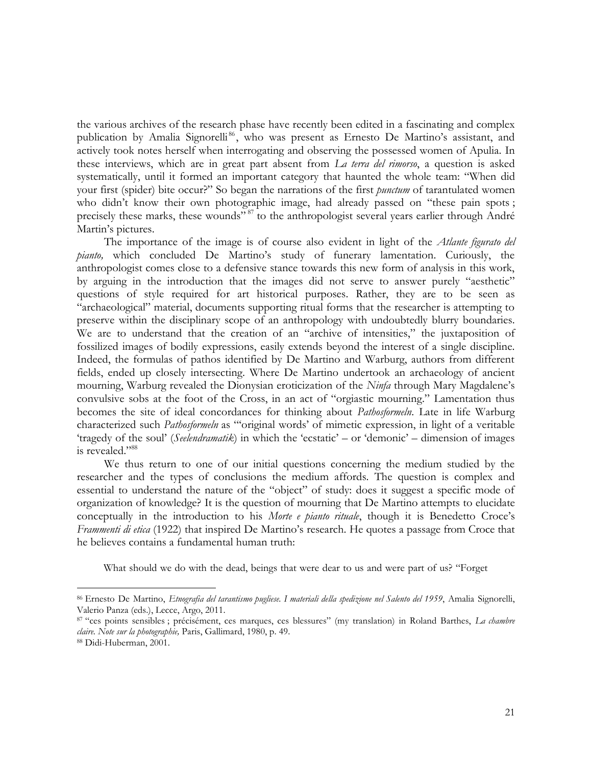the various archives of the research phase have recently been edited in a fascinating and complex publication by Amalia Signorelli<sup>86</sup>, who was present as Ernesto De Martino's assistant, and actively took notes herself when interrogating and observing the possessed women of Apulia. In these interviews, which are in great part absent from *La terra del rimorso*, a question is asked systematically, until it formed an important category that haunted the whole team: "When did your first (spider) bite occur?" So began the narrations of the first *punctum* of tarantulated women who didn't know their own photographic image, had already passed on "these pain spots; precisely these marks, these wounds"<sup>87</sup> to the anthropologist several years earlier through André Martin's pictures.

The importance of the image is of course also evident in light of the *Atlante figurato del pianto,* which concluded De Martino's study of funerary lamentation. Curiously, the anthropologist comes close to a defensive stance towards this new form of analysis in this work, by arguing in the introduction that the images did not serve to answer purely "aesthetic" questions of style required for art historical purposes. Rather, they are to be seen as "archaeological" material, documents supporting ritual forms that the researcher is attempting to preserve within the disciplinary scope of an anthropology with undoubtedly blurry boundaries. We are to understand that the creation of an "archive of intensities," the juxtaposition of fossilized images of bodily expressions, easily extends beyond the interest of a single discipline. Indeed, the formulas of pathos identified by De Martino and Warburg, authors from different fields, ended up closely intersecting. Where De Martino undertook an archaeology of ancient mourning, Warburg revealed the Dionysian eroticization of the *Ninfa* through Mary Magdalene's convulsive sobs at the foot of the Cross, in an act of "orgiastic mourning." Lamentation thus becomes the site of ideal concordances for thinking about *Pathosformeln*. Late in life Warburg characterized such *Pathosformeln* as "'original words' of mimetic expression, in light of a veritable 'tragedy of the soul' (*Seelendramatik*) in which the 'ecstatic' – or 'demonic' – dimension of images is revealed."<sup>88</sup>

We thus return to one of our initial questions concerning the medium studied by the researcher and the types of conclusions the medium affords. The question is complex and essential to understand the nature of the "object" of study: does it suggest a specific mode of organization of knowledge? It is the question of mourning that De Martino attempts to elucidate conceptually in the introduction to his *Morte e pianto rituale*, though it is Benedetto Croce's *Frammenti di etica* (1922) that inspired De Martino's research. He quotes a passage from Croce that he believes contains a fundamental human truth:

What should we do with the dead, beings that were dear to us and were part of us? "Forget

<sup>86</sup> Ernesto De Martino, *Etnografia del tarantismo pugliese. I materiali della spedizione nel Salento del 1959*, Amalia Signorelli, Valerio Panza (eds.), Lecce, Argo, 2011.

<sup>87</sup> "ces points sensibles ; précisément, ces marques, ces blessures" (my translation) in Roland Barthes, *La chambre claire. Note sur la photographie,* Paris, Gallimard, 1980, p. 49.

<sup>88</sup> Didi-Huberman, 2001.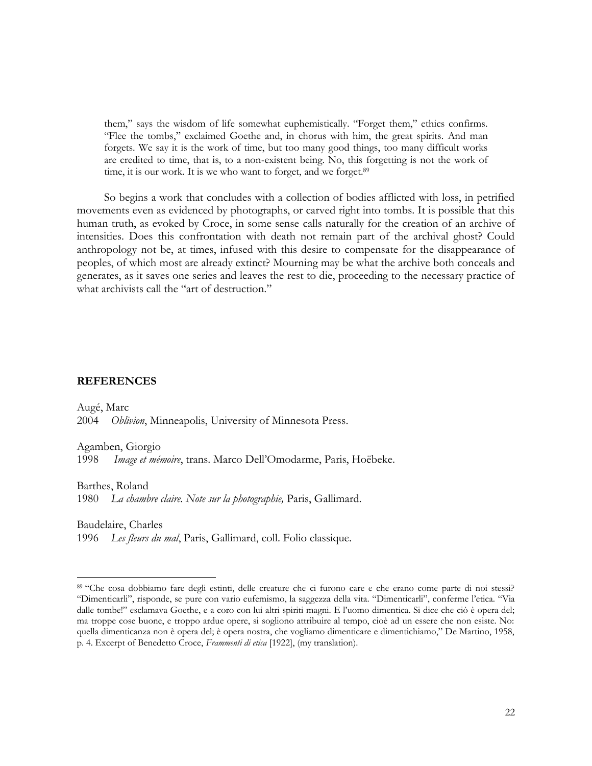them," says the wisdom of life somewhat euphemistically. "Forget them," ethics confirms. "Flee the tombs," exclaimed Goethe and, in chorus with him, the great spirits. And man forgets. We say it is the work of time, but too many good things, too many difficult works are credited to time, that is, to a non-existent being. No, this forgetting is not the work of time, it is our work. It is we who want to forget, and we forget.<sup>89</sup>

So begins a work that concludes with a collection of bodies afflicted with loss, in petrified movements even as evidenced by photographs, or carved right into tombs. It is possible that this human truth, as evoked by Croce, in some sense calls naturally for the creation of an archive of intensities. Does this confrontation with death not remain part of the archival ghost? Could anthropology not be, at times, infused with this desire to compensate for the disappearance of peoples, of which most are already extinct? Mourning may be what the archive both conceals and generates, as it saves one series and leaves the rest to die, proceeding to the necessary practice of what archivists call the "art of destruction."

#### **REFERENCES**

Augé, Marc 2004 *Oblivion*, Minneapolis, University of Minnesota Press.

Agamben, Giorgio

1998 *Image et mémoire*, trans. Marco Dell'Omodarme, Paris, Hoëbeke.

Barthes, Roland

 $\overline{a}$ 

1980 *La chambre claire. Note sur la photographie,* Paris, Gallimard.

Baudelaire, Charles 1996 *Les fleurs du mal*, Paris, Gallimard, coll. Folio classique.

<sup>89</sup> "Che cosa dobbiamo fare degli estinti, delle creature che ci furono care e che erano come parte di noi stessi? "Dimenticarli", risponde, se pure con vario eufemismo, la saggezza della vita. "Dimenticarli", conferme l'etica. "Via dalle tombe!" esclamava Goethe, e a coro con lui altri spiriti magni. E l'uomo dimentica. Si dice che ciò è opera del; ma troppe cose buone, e troppo ardue opere, si sogliono attribuire al tempo, cioè ad un essere che non esiste. No: quella dimenticanza non è opera del; è opera nostra, che vogliamo dimenticare e dimentichiamo," De Martino, 1958, p. 4. Excerpt of Benedetto Croce, *Frammenti di etica* [1922], (my translation).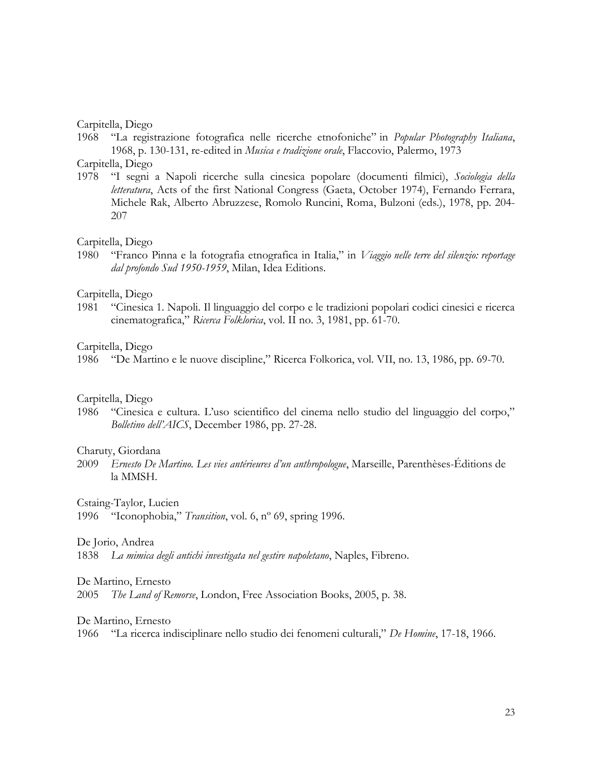# Carpitella, Diego

1968 "La registrazione fotografica nelle ricerche etnofoniche" in *Popular Photography Italiana*, 1968, p. 130-131, re-edited in *Musica e tradizione orale*, Flaccovio, Palermo, 1973

# Carpitella, Diego

1978 "I segni a Napoli ricerche sulla cinesica popolare (documenti filmici), *Sociologia della letteratura*, Acts of the first National Congress (Gaeta, October 1974), Fernando Ferrara, Michele Rak, Alberto Abruzzese, Romolo Runcini, Roma, Bulzoni (eds.), 1978, pp. 204- 207

# Carpitella, Diego

1980 "Franco Pinna e la fotografia etnografica in Italia," in *Viaggio nelle terre del silenzio: reportage dal profondo Sud 1950-1959*, Milan, Idea Editions.

# Carpitella, Diego

1981 "Cinesica 1. Napoli. Il linguaggio del corpo e le tradizioni popolari codici cinesici e ricerca cinematografica," *Ricerca Folklorica*, vol. II no. 3, 1981, pp. 61-70.

# Carpitella, Diego

1986 "De Martino e le nuove discipline," Ricerca Folkorica, vol. VII, no. 13, 1986, pp. 69-70.

# Carpitella, Diego

1986 "Cinesica e cultura. L'uso scientifico del cinema nello studio del linguaggio del corpo," *Bolletino dell'AICS*, December 1986, pp. 27-28.

# Charuty, Giordana

2009 *Ernesto De Martino. Les vies antérieures d'un anthropologue*, Marseille, Parenthèses-Éditions de la MMSH.

Cstaing-Taylor, Lucien

1996 "Iconophobia," *Transition*, vol. 6, nº 69, spring 1996.

# De Jorio, Andrea

1838 *La mimica degli antichi investigata nel gestire napoletano*, Naples, Fibreno.

# De Martino, Ernesto

2005 *The Land of Remorse*, London, Free Association Books, 2005, p. 38.

# De Martino, Ernesto

1966 "La ricerca indisciplinare nello studio dei fenomeni culturali," *De Homine*, 17-18, 1966.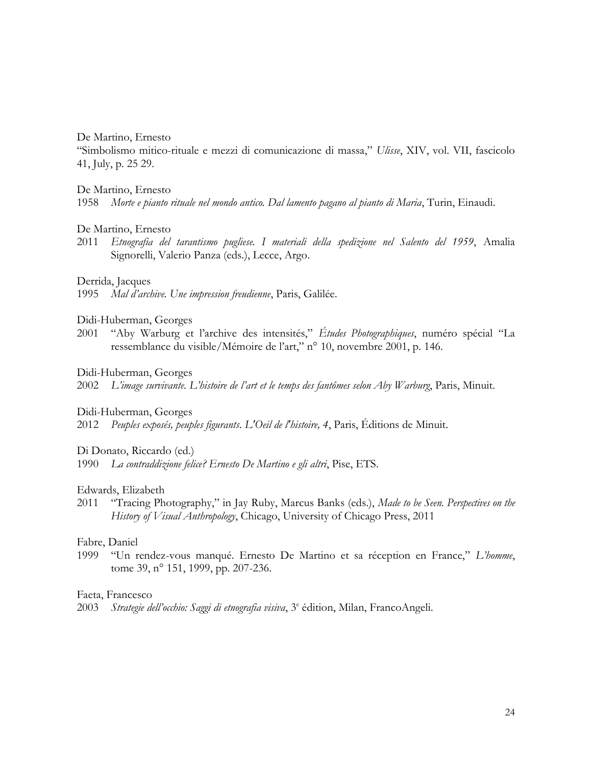# De Martino, Ernesto

"Simbolismo mitico-rituale e mezzi di comunicazione di massa," *Ulisse*, XIV, vol. VII, fascicolo 41, July, p. 25 29.

# De Martino, Ernesto

1958 *Morte e pianto rituale nel mondo antico. Dal lamento pagano al pianto di Maria*, Turin, Einaudi.

# De Martino, Ernesto

2011 *Etnografia del tarantismo pugliese. I materiali della spedizione nel Salento del 1959*, Amalia Signorelli, Valerio Panza (eds.), Lecce, Argo.

# Derrida, Jacques

1995 *Mal d'archive. Une impression freudienne*, Paris, Galilée.

# Didi-Huberman, Georges

2001 "Aby Warburg et l'archive des intensités," *Études Photographiques*, numéro spécial "La ressemblance du visible/Mémoire de l'art," n° 10, novembre 2001, p. 146.

# Didi-Huberman, Georges

2002 *L'image survivante. L'histoire de l'art et le temps des fantômes selon Aby Warburg*, Paris, Minuit.

# Didi-Huberman, Georges

2012 *Peuples exposés, peuples figurants*. *L'Oeil de l'histoire, 4*, Paris, Éditions de Minuit.

# Di Donato, Riccardo (ed.)

1990 *La contraddizione felice? Ernesto De Martino e gli altri*, Pise, ETS.

# Edwards, Elizabeth

2011 "Tracing Photography," in Jay Ruby, Marcus Banks (eds.), *Made to be Seen. Perspectives on the History of Visual Anthropology*, Chicago, University of Chicago Press, 2011

# Fabre, Daniel

1999 "Un rendez-vous manqué. Ernesto De Martino et sa réception en France," *L'homme*, tome 39, n° 151, 1999, pp. 207-236.

# Faeta, Francesco

2003 Strategie dell'occhio: Saggi di etnografia visiva, 3<sup>e</sup> édition, Milan, FrancoAngeli.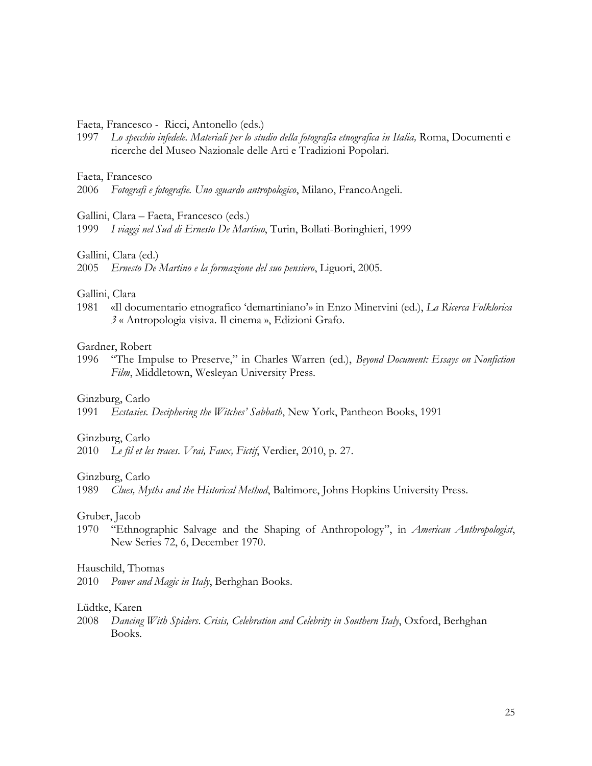# Faeta, Francesco - Ricci, Antonello (eds.)

1997 *Lo specchio infedele. Materiali per lo studio della fotografia etnografica in Italia,* Roma, Documenti e ricerche del Museo Nazionale delle Arti e Tradizioni Popolari.

# Faeta, Francesco

2006 *Fotografi e fotografie. Uno sguardo antropologico*, Milano, FrancoAngeli.

#### Gallini, Clara – Faeta, Francesco (eds.)

1999 *I viaggi nel Sud di Ernesto De Martino*, Turin, Bollati-Boringhieri, 1999

#### Gallini, Clara (ed.)

### Gallini, Clara

1981 «Il documentario etnografico 'demartiniano'» in Enzo Minervini (ed.), *La Ricerca Folklorica 3* « Antropologia visiva. Il cinema », Edizioni Grafo.

### Gardner, Robert

1996 "The Impulse to Preserve," in Charles Warren (ed.), *Beyond Document: Essays on Nonfiction Film*, Middletown, Wesleyan University Press.

#### Ginzburg, Carlo

1991 *Ecstasies. Deciphering the Witches' Sabbath*, New York, Pantheon Books, 1991

#### Ginzburg, Carlo

2010 *Le fil et les traces*. *Vrai, Faux, Fictif*, Verdier, 2010, p. 27.

#### Ginzburg, Carlo

1989 *Clues, Myths and the Historical Method*, Baltimore, Johns Hopkins University Press.

### Gruber, Jacob

1970 "Ethnographic Salvage and the Shaping of Anthropology", in *American Anthropologist*, New Series 72, 6, December 1970.

# Hauschild, Thomas

2010 *Power and Magic in Italy*, Berhghan Books.

#### Lüdtke, Karen

2008 *Dancing With Spiders*. *Crisis, Celebration and Celebrity in Southern Italy*, Oxford, Berhghan Books.

<sup>2005</sup> *Ernesto De Martino e la formazione del suo pensiero*, Liguori, 2005.